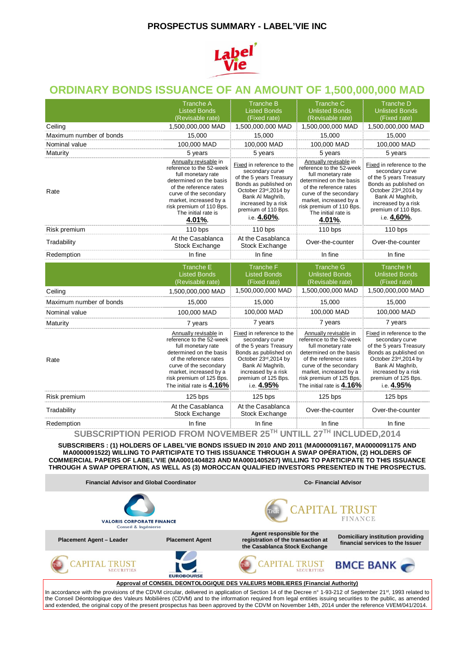#### **PROSPECTUS SUMMARY - LABEL'VIE INC**



## **ORDINARY BONDS ISSUANCE OF AN AMOUNT OF 1,500,000,000 MAD**

|                                    | <b>Tranche A</b>                                                                                                                                                                                                                          | <b>Tranche B</b>                                                                                                                                                                                           | <b>Tranche C</b>                                                                                                                                                                                                                              | <b>Tranche D</b>                                                                                                                                                                                           |
|------------------------------------|-------------------------------------------------------------------------------------------------------------------------------------------------------------------------------------------------------------------------------------------|------------------------------------------------------------------------------------------------------------------------------------------------------------------------------------------------------------|-----------------------------------------------------------------------------------------------------------------------------------------------------------------------------------------------------------------------------------------------|------------------------------------------------------------------------------------------------------------------------------------------------------------------------------------------------------------|
|                                    | <b>Listed Bonds</b>                                                                                                                                                                                                                       | <b>Listed Bonds</b>                                                                                                                                                                                        | <b>Unlisted Bonds</b>                                                                                                                                                                                                                         | <b>Unlisted Bonds</b>                                                                                                                                                                                      |
|                                    | (Revisable rate)                                                                                                                                                                                                                          | (Fixed rate)                                                                                                                                                                                               | (Revisable rate)                                                                                                                                                                                                                              | (Fixed rate)                                                                                                                                                                                               |
| Ceiling<br>Maximum number of bonds | 1,500,000,000 MAD<br>15,000                                                                                                                                                                                                               | 1,500,000,000 MAD<br>15,000                                                                                                                                                                                | 1,500,000,000 MAD<br>15,000                                                                                                                                                                                                                   | 1,500,000,000 MAD<br>15,000                                                                                                                                                                                |
| Nominal value                      | 100,000 MAD                                                                                                                                                                                                                               |                                                                                                                                                                                                            |                                                                                                                                                                                                                                               | 100,000 MAD                                                                                                                                                                                                |
|                                    |                                                                                                                                                                                                                                           | 100,000 MAD                                                                                                                                                                                                | 100,000 MAD                                                                                                                                                                                                                                   |                                                                                                                                                                                                            |
| Maturity                           | 5 years<br>Annually revisable in                                                                                                                                                                                                          | 5 years                                                                                                                                                                                                    | 5 years                                                                                                                                                                                                                                       | 5 years                                                                                                                                                                                                    |
| Rate                               | reference to the 52-week<br>full monetary rate<br>determined on the basis<br>of the reference rates<br>curve of the secondary<br>market, increased by a<br>risk premium of 110 Bps.<br>The initial rate is<br>4.01%.                      | Fixed in reference to the<br>secondary curve<br>of the 5 years Treasury<br>Bonds as published on<br>October 23rd, 2014 by<br>Bank Al Maghrib,<br>increased by a risk<br>premium of 110 Bps.<br>i.e. 4.60%. | Annually revisable in<br>reference to the 52-week<br>full monetary rate<br>determined on the basis<br>of the reference rates<br>curve of the secondary<br>market, increased by a<br>risk premium of 110 Bps.<br>The initial rate is<br>4.01%. | Fixed in reference to the<br>secondary curve<br>of the 5 years Treasury<br>Bonds as published on<br>October 23rd, 2014 by<br>Bank Al Maghrib,<br>increased by a risk<br>premium of 110 Bps.<br>i.e. 4,60%. |
| Risk premium                       | 110 bps                                                                                                                                                                                                                                   | $110$ bps                                                                                                                                                                                                  | $110$ bps                                                                                                                                                                                                                                     | $110$ bps                                                                                                                                                                                                  |
| Tradability                        | At the Casablanca<br><b>Stock Exchange</b>                                                                                                                                                                                                | At the Casablanca<br>Stock Exchange                                                                                                                                                                        | Over-the-counter                                                                                                                                                                                                                              | Over-the-counter                                                                                                                                                                                           |
| Redemption                         | In fine                                                                                                                                                                                                                                   | In fine                                                                                                                                                                                                    | In fine                                                                                                                                                                                                                                       | In fine                                                                                                                                                                                                    |
|                                    | Tranche E<br><b>Listed Bonds</b><br>(Revisable rate)                                                                                                                                                                                      | <b>Tranche F</b><br><b>Listed Bonds</b><br>(Fixed rate)                                                                                                                                                    | <b>Tranche G</b><br><b>Unlisted Bonds</b><br>(Revisable rate)                                                                                                                                                                                 | <b>Tranche H</b><br><b>Unlisted Bonds</b><br>(Fixed rate)                                                                                                                                                  |
| Ceiling                            | 1,500,000,000 MAD                                                                                                                                                                                                                         | 1,500,000,000 MAD                                                                                                                                                                                          | 1,500,000,000 MAD                                                                                                                                                                                                                             | 1,500,000,000 MAD                                                                                                                                                                                          |
| Maximum number of bonds            | 15,000                                                                                                                                                                                                                                    | 15,000                                                                                                                                                                                                     | 15,000                                                                                                                                                                                                                                        | 15,000                                                                                                                                                                                                     |
| Nominal value                      | 100,000 MAD                                                                                                                                                                                                                               | 100,000 MAD                                                                                                                                                                                                | 100,000 MAD                                                                                                                                                                                                                                   | 100,000 MAD                                                                                                                                                                                                |
| Maturity                           | 7 years                                                                                                                                                                                                                                   | 7 years                                                                                                                                                                                                    | 7 years                                                                                                                                                                                                                                       | 7 years                                                                                                                                                                                                    |
| Rate                               | Annually revisable in<br>reference to the 52-week<br>full monetary rate<br>determined on the basis<br>of the reference rates<br>curve of the secondary<br>market, increased by a<br>risk premium of 125 Bps.<br>The initial rate is 4.16% | Fixed in reference to the<br>secondary curve<br>of the 5 years Treasury<br>Bonds as published on<br>October 23rd, 2014 by<br>Bank Al Maghrib,<br>increased by a risk<br>premium of 125 Bps.<br>i.e. 4.95%  | Annually revisable in<br>reference to the 52-week<br>full monetary rate<br>determined on the basis<br>of the reference rates<br>curve of the secondary<br>market, increased by a<br>risk premium of 125 Bps.<br>The initial rate is 4.16%     | Fixed in reference to the<br>secondary curve<br>of the 5 years Treasury<br>Bonds as published on<br>October 23rd, 2014 by<br>Bank Al Maghrib,<br>increased by a risk<br>premium of 125 Bps.<br>i.e. 4.95%  |
| Risk premium                       | 125 bps                                                                                                                                                                                                                                   | 125 bps                                                                                                                                                                                                    | $125$ bps                                                                                                                                                                                                                                     | 125 bps                                                                                                                                                                                                    |
| Tradability                        | At the Casablanca<br><b>Stock Exchange</b>                                                                                                                                                                                                | At the Casablanca<br>Stock Exchange                                                                                                                                                                        | Over-the-counter                                                                                                                                                                                                                              | Over-the-counter                                                                                                                                                                                           |
| Redemption                         | In fine                                                                                                                                                                                                                                   | In fine                                                                                                                                                                                                    | In fine                                                                                                                                                                                                                                       | In fine                                                                                                                                                                                                    |
|                                    |                                                                                                                                                                                                                                           |                                                                                                                                                                                                            | TU.                                                                                                                                                                                                                                           |                                                                                                                                                                                                            |

**SUBSCRIPTION PERIOD FROM NOVEMBER 25TH UNTILL 27TH INCLUDED,2014**

**SUBSCRIBERS : (1) HOLDERS OF LABEL'VIE BONDS ISSUED IN 2010 AND 2011 (MA0000091167, MA0000091175 AND MA0000091522) WILLING TO PARTICIPATE TO THIS ISSUANCE THROUGH A SWAP OPÉRATION, (2) HOLDERS OF COMMERCIAL PAPERS OF LABEL'VIE (MA0001404823 AND MA0001405267) WILLING TO PARTICIPATE TO THIS ISSUANCE THROUGH A SWAP OPERATION, AS WELL AS (3) MOROCCAN QUALIFIED INVESTORS PRESENTED IN THE PROSPECTUS.**



the Conseil Déontologique des Valeurs Mobilières (CDVM) and to the information required from legal entities issuing securities to the public, as amended<br>and extended, the original copy of the present prospectus has been ap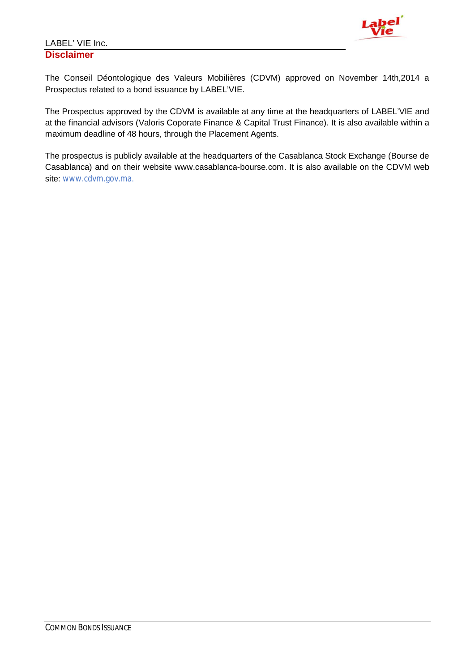

The Conseil Déontologique des Valeurs Mobilières (CDVM) approved on November 14th,2014 a Prospectus related to a bond issuance by LABEL'VIE.

The Prospectus approved by the CDVM is available at any time at the headquarters of LABEL'VIE and at the financial advisors (Valoris Coporate Finance & Capital Trust Finance). It is also available within a maximum deadline of 48 hours, through the Placement Agents.

The prospectus is publicly available at the headquarters of the Casablanca Stock Exchange (Bourse de Casablanca) and on their website www.casablanca-bourse.com. It is also available on the CDVM web site: www.cdvm.gov.ma.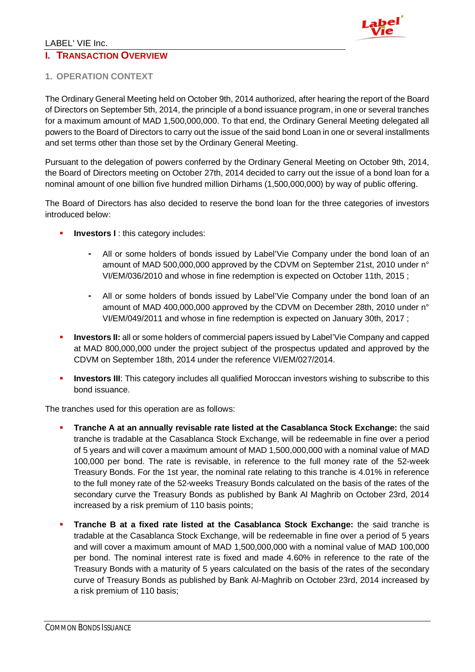## LABEL' VIE Inc. **I. TRANSACTION OVERVIEW**



## **1. OPERATION CONTEXT**

The Ordinary General Meeting held on October 9th, 2014 authorized, after hearing the report of the Board of Directors on September 5th, 2014, the principle of a bond issuance program, in one or several tranches for a maximum amount of MAD 1,500,000,000. To that end, the Ordinary General Meeting delegated all powers to the Board of Directors to carry out the issue of the said bond Loan in one or several installments and set terms other than those set by the Ordinary General Meeting.

Pursuant to the delegation of powers conferred by the Ordinary General Meeting on October 9th, 2014, the Board of Directors meeting on October 27th, 2014 decided to carry out the issue of a bond loan for a nominal amount of one billion five hundred million Dirhams (1,500,000,000) by way of public offering.

The Board of Directors has also decided to reserve the bond loan for the three categories of investors introduced below:

- **Investors I: this category includes:** 
	- **-** All or some holders of bonds issued by Label'Vie Company under the bond loan of an amount of MAD 500,000,000 approved by the CDVM on September 21st, 2010 under n° VI/EM/036/2010 and whose in fine redemption is expected on October 11th, 2015 ;
	- **-** All or some holders of bonds issued by Label'Vie Company under the bond loan of an amount of MAD 400,000,000 approved by the CDVM on December 28th, 2010 under n° VI/EM/049/2011 and whose in fine redemption is expected on January 30th, 2017 ;
- **IDIM** Investors II: all or some holders of commercial papers issued by Label'Vie Company and capped at MAD 800,000,000 under the project subject of the prospectus updated and approved by the CDVM on September 18th, 2014 under the reference VI/EM/027/2014.
- **Investors III:** This category includes all qualified Moroccan investors wishing to subscribe to this bond issuance.

The tranches used for this operation are as follows:

- **Tranche A at an annually revisable rate listed at the Casablanca Stock Exchange:** the said tranche is tradable at the Casablanca Stock Exchange, will be redeemable in fine over a period of 5 years and will cover a maximum amount of MAD 1,500,000,000 with a nominal value of MAD 100,000 per bond. The rate is revisable, in reference to the full money rate of the 52-week Treasury Bonds. For the 1st year, the nominal rate relating to this tranche is 4.01% in reference to the full money rate of the 52-weeks Treasury Bonds calculated on the basis of the rates of the secondary curve the Treasury Bonds as published by Bank Al Maghrib on October 23rd, 2014 increased by a risk premium of 110 basis points;
- **Tranche B at a fixed rate listed at the Casablanca Stock Exchange:** the said tranche is tradable at the Casablanca Stock Exchange, will be redeemable in fine over a period of 5 years and will cover a maximum amount of MAD 1,500,000,000 with a nominal value of MAD 100,000 per bond. The nominal interest rate is fixed and made 4.60% in reference to the rate of the Treasury Bonds with a maturity of 5 years calculated on the basis of the rates of the secondary curve of Treasury Bonds as published by Bank Al-Maghrib on October 23rd, 2014 increased by a risk premium of 110 basis;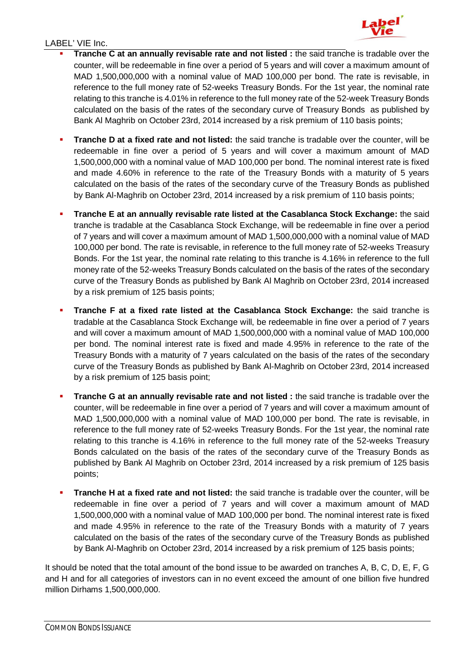

- **Tranche C at an annually revisable rate and not listed :** the said tranche is tradable over the counter, will be redeemable in fine over a period of 5 years and will cover a maximum amount of MAD 1,500,000,000 with a nominal value of MAD 100,000 per bond. The rate is revisable, in reference to the full money rate of 52-weeks Treasury Bonds. For the 1st year, the nominal rate relating to this tranche is 4.01% in reference to the full money rate of the 52-week Treasury Bonds calculated on the basis of the rates of the secondary curve of Treasury Bonds as published by Bank Al Maghrib on October 23rd, 2014 increased by a risk premium of 110 basis points;
- **Tranche D at a fixed rate and not listed:** the said tranche is tradable over the counter, will be redeemable in fine over a period of 5 years and will cover a maximum amount of MAD 1,500,000,000 with a nominal value of MAD 100,000 per bond. The nominal interest rate is fixed and made 4.60% in reference to the rate of the Treasury Bonds with a maturity of 5 years calculated on the basis of the rates of the secondary curve of the Treasury Bonds as published by Bank Al-Maghrib on October 23rd, 2014 increased by a risk premium of 110 basis points;
- **Tranche E at an annually revisable rate listed at the Casablanca Stock Exchange:** the said tranche is tradable at the Casablanca Stock Exchange, will be redeemable in fine over a period of 7 years and will cover a maximum amount of MAD 1,500,000,000 with a nominal value of MAD 100,000 per bond. The rate is revisable, in reference to the full money rate of 52-weeks Treasury Bonds. For the 1st year, the nominal rate relating to this tranche is 4.16% in reference to the full money rate of the 52-weeks Treasury Bonds calculated on the basis of the rates of the secondary curve of the Treasury Bonds as published by Bank Al Maghrib on October 23rd, 2014 increased by a risk premium of 125 basis points;
- **Tranche F at a fixed rate listed at the Casablanca Stock Exchange:** the said tranche is tradable at the Casablanca Stock Exchange will, be redeemable in fine over a period of 7 years and will cover a maximum amount of MAD 1,500,000,000 with a nominal value of MAD 100,000 per bond. The nominal interest rate is fixed and made 4.95% in reference to the rate of the Treasury Bonds with a maturity of 7 years calculated on the basis of the rates of the secondary curve of the Treasury Bonds as published by Bank Al-Maghrib on October 23rd, 2014 increased by a risk premium of 125 basis point;
- **Tranche G at an annually revisable rate and not listed :** the said tranche is tradable over the counter, will be redeemable in fine over a period of 7 years and will cover a maximum amount of MAD 1,500,000,000 with a nominal value of MAD 100,000 per bond. The rate is revisable, in reference to the full money rate of 52-weeks Treasury Bonds. For the 1st year, the nominal rate relating to this tranche is 4.16% in reference to the full money rate of the 52-weeks Treasury Bonds calculated on the basis of the rates of the secondary curve of the Treasury Bonds as published by Bank Al Maghrib on October 23rd, 2014 increased by a risk premium of 125 basis points;
- **Tranche H at a fixed rate and not listed:** the said tranche is tradable over the counter, will be redeemable in fine over a period of 7 years and will cover a maximum amount of MAD 1,500,000,000 with a nominal value of MAD 100,000 per bond. The nominal interest rate is fixed and made 4.95% in reference to the rate of the Treasury Bonds with a maturity of 7 years calculated on the basis of the rates of the secondary curve of the Treasury Bonds as published by Bank Al-Maghrib on October 23rd, 2014 increased by a risk premium of 125 basis points;

It should be noted that the total amount of the bond issue to be awarded on tranches A, B, C, D, E, F, G and H and for all categories of investors can in no event exceed the amount of one billion five hundred million Dirhams 1,500,000,000.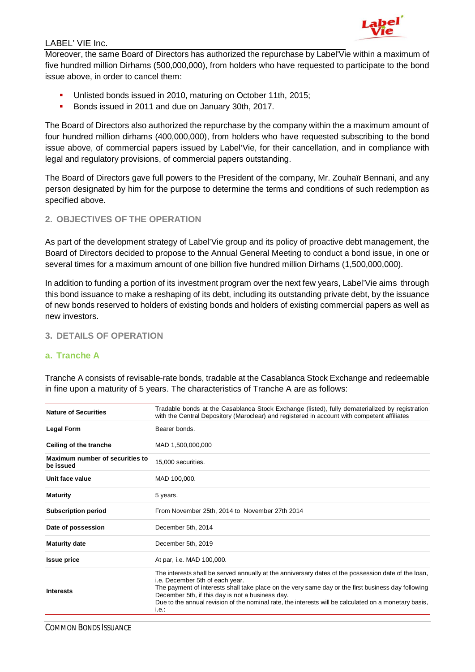

Moreover, the same Board of Directors has authorized the repurchase by Label'Vie within a maximum of five hundred million Dirhams (500,000,000), from holders who have requested to participate to the bond issue above, in order to cancel them:

- Unlisted bonds issued in 2010, maturing on October 11th, 2015;
- Bonds issued in 2011 and due on January 30th, 2017.

The Board of Directors also authorized the repurchase by the company within the a maximum amount of four hundred million dirhams (400,000,000), from holders who have requested subscribing to the bond issue above, of commercial papers issued by Label'Vie, for their cancellation, and in compliance with legal and regulatory provisions, of commercial papers outstanding.

The Board of Directors gave full powers to the President of the company, Mr. Zouhaïr Bennani, and any person designated by him for the purpose to determine the terms and conditions of such redemption as specified above.

#### **2. OBJECTIVES OF THE OPERATION**

As part of the development strategy of Label'Vie group and its policy of proactive debt management, the Board of Directors decided to propose to the Annual General Meeting to conduct a bond issue, in one or several times for a maximum amount of one billion five hundred million Dirhams (1,500,000,000).

In addition to funding a portion of its investment program over the next few years, Label'Vie aims through this bond issuance to make a reshaping of its debt, including its outstanding private debt, by the issuance of new bonds reserved to holders of existing bonds and holders of existing commercial papers as well as new investors.

#### **3. DETAILS OF OPERATION**

#### **a. Tranche A**

Tranche A consists of revisable-rate bonds, tradable at the Casablanca Stock Exchange and redeemable in fine upon a maturity of 5 years. The characteristics of Tranche A are as follows:

| <b>Nature of Securities</b>                  | Tradable bonds at the Casablanca Stock Exchange (listed), fully dematerialized by registration<br>with the Central Depository (Maroclear) and registered in account with competent affiliates                                                                                                                                                                                                                      |
|----------------------------------------------|--------------------------------------------------------------------------------------------------------------------------------------------------------------------------------------------------------------------------------------------------------------------------------------------------------------------------------------------------------------------------------------------------------------------|
| <b>Legal Form</b>                            | Bearer bonds.                                                                                                                                                                                                                                                                                                                                                                                                      |
| Ceiling of the tranche                       | MAD 1,500,000,000                                                                                                                                                                                                                                                                                                                                                                                                  |
| Maximum number of securities to<br>be issued | 15,000 securities.                                                                                                                                                                                                                                                                                                                                                                                                 |
| Unit face value                              | MAD 100,000.                                                                                                                                                                                                                                                                                                                                                                                                       |
| <b>Maturity</b>                              | 5 years.                                                                                                                                                                                                                                                                                                                                                                                                           |
| <b>Subscription period</b>                   | From November 25th, 2014 to November 27th 2014                                                                                                                                                                                                                                                                                                                                                                     |
| Date of possession                           | December 5th, 2014                                                                                                                                                                                                                                                                                                                                                                                                 |
| <b>Maturity date</b>                         | December 5th, 2019                                                                                                                                                                                                                                                                                                                                                                                                 |
| <b>Issue price</b>                           | At par, i.e. MAD 100,000.                                                                                                                                                                                                                                                                                                                                                                                          |
| <b>Interests</b>                             | The interests shall be served annually at the anniversary dates of the possession date of the loan,<br>i.e. December 5th of each year.<br>The payment of interests shall take place on the very same day or the first business day following<br>December 5th, if this day is not a business day.<br>Due to the annual revision of the nominal rate, the interests will be calculated on a monetary basis,<br>i.e.: |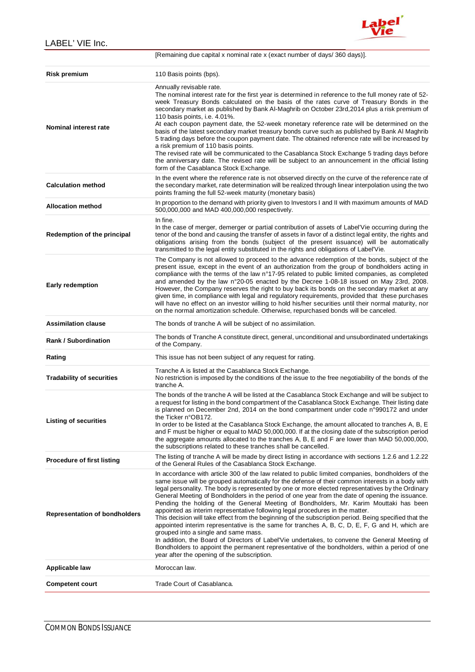

|                                      | [Remaining due capital x nominal rate x (exact number of days/360 days)].                                                                                                                                                                                                                                                                                                                                                                                                                                                                                                                                                                                                                                                                                                                                                                                                                                                                                                                                                                                                                        |
|--------------------------------------|--------------------------------------------------------------------------------------------------------------------------------------------------------------------------------------------------------------------------------------------------------------------------------------------------------------------------------------------------------------------------------------------------------------------------------------------------------------------------------------------------------------------------------------------------------------------------------------------------------------------------------------------------------------------------------------------------------------------------------------------------------------------------------------------------------------------------------------------------------------------------------------------------------------------------------------------------------------------------------------------------------------------------------------------------------------------------------------------------|
| Risk premium                         | 110 Basis points (bps).                                                                                                                                                                                                                                                                                                                                                                                                                                                                                                                                                                                                                                                                                                                                                                                                                                                                                                                                                                                                                                                                          |
| Nominal interest rate                | Annually revisable rate.<br>The nominal interest rate for the first year is determined in reference to the full money rate of 52-<br>week Treasury Bonds calculated on the basis of the rates curve of Treasury Bonds in the<br>secondary market as published by Bank Al-Maghrib on October 23rd, 2014 plus a risk premium of<br>110 basis points, i.e. 4.01%.<br>At each coupon payment date, the 52-week monetary reference rate will be determined on the<br>basis of the latest secondary market treasury bonds curve such as published by Bank Al Maghrib<br>5 trading days before the coupon payment date. The obtained reference rate will be increased by<br>a risk premium of 110 basis points.<br>The revised rate will be communicated to the Casablanca Stock Exchange 5 trading days before<br>the anniversary date. The revised rate will be subject to an announcement in the official listing<br>form of the Casablanca Stock Exchange.                                                                                                                                          |
| <b>Calculation method</b>            | In the event where the reference rate is not observed directly on the curve of the reference rate of<br>the secondary market, rate determination will be realized through linear interpolation using the two<br>points framing the full 52-week maturity (monetary basis)                                                                                                                                                                                                                                                                                                                                                                                                                                                                                                                                                                                                                                                                                                                                                                                                                        |
| <b>Allocation method</b>             | In proportion to the demand with priority given to Investors I and II with maximum amounts of MAD<br>500,000,000 and MAD 400,000,000 respectively.                                                                                                                                                                                                                                                                                                                                                                                                                                                                                                                                                                                                                                                                                                                                                                                                                                                                                                                                               |
| Redemption of the principal          | In fine.<br>In the case of merger, demerger or partial contribution of assets of Label'Vie occurring during the<br>tenor of the bond and causing the transfer of assets in favor of a distinct legal entity, the rights and<br>obligations arising from the bonds (subject of the present issuance) will be automatically<br>transmitted to the legal entity substituted in the rights and obligations of Label'Vie.                                                                                                                                                                                                                                                                                                                                                                                                                                                                                                                                                                                                                                                                             |
| <b>Early redemption</b>              | The Company is not allowed to proceed to the advance redemption of the bonds, subject of the<br>present issue, except in the event of an authorization from the group of bondholders acting in<br>compliance with the terms of the law n°17-95 related to public limited companies, as completed<br>and amended by the law n°20-05 enacted by the Decree 1-08-18 issued on May 23rd, 2008.<br>However, the Company reserves the right to buy back its bonds on the secondary market at any<br>given time, in compliance with legal and regulatory requirements, provided that these purchases<br>will have no effect on an investor willing to hold his/her securities until their normal maturity, nor<br>on the normal amortization schedule. Otherwise, repurchased bonds will be canceled.                                                                                                                                                                                                                                                                                                   |
| <b>Assimilation clause</b>           | The bonds of tranche A will be subject of no assimilation.                                                                                                                                                                                                                                                                                                                                                                                                                                                                                                                                                                                                                                                                                                                                                                                                                                                                                                                                                                                                                                       |
| <b>Rank / Subordination</b>          | The bonds of Tranche A constitute direct, general, unconditional and unsubordinated undertakings<br>of the Company.                                                                                                                                                                                                                                                                                                                                                                                                                                                                                                                                                                                                                                                                                                                                                                                                                                                                                                                                                                              |
| Rating                               | This issue has not been subject of any request for rating.                                                                                                                                                                                                                                                                                                                                                                                                                                                                                                                                                                                                                                                                                                                                                                                                                                                                                                                                                                                                                                       |
| <b>Tradability of securities</b>     | Tranche A is listed at the Casablanca Stock Exchange.<br>No restriction is imposed by the conditions of the issue to the free negotiability of the bonds of the<br>tranche A.                                                                                                                                                                                                                                                                                                                                                                                                                                                                                                                                                                                                                                                                                                                                                                                                                                                                                                                    |
| <b>Listing of securities</b>         | The bonds of the tranche A will be listed at the Casablanca Stock Exchange and will be subject to<br>a request for listing in the bond compartment of the Casablanca Stock Exchange. Their listing date<br>is planned on December 2nd, 2014 on the bond compartment under code n°990172 and under<br>the Ticker n°OB172.<br>In order to be listed at the Casablanca Stock Exchange, the amount allocated to tranches A, B, E<br>and F must be higher or equal to MAD 50,000,000. If at the closing date of the subscription period<br>the aggregate amounts allocated to the tranches A, B, E and F are lower than MAD 50,000,000,<br>the subscriptions related to these tranches shall be cancelled.                                                                                                                                                                                                                                                                                                                                                                                            |
| <b>Procedure of first listing</b>    | The listing of tranche A will be made by direct listing in accordance with sections 1.2.6 and 1.2.22<br>of the General Rules of the Casablanca Stock Exchange.                                                                                                                                                                                                                                                                                                                                                                                                                                                                                                                                                                                                                                                                                                                                                                                                                                                                                                                                   |
| <b>Representation of bondholders</b> | In accordance with article 300 of the law related to public limited companies, bondholders of the<br>same issue will be grouped automatically for the defense of their common interests in a body with<br>legal personality. The body is represented by one or more elected representatives by the Ordinary<br>General Meeting of Bondholders in the period of one year from the date of opening the issuance.<br>Pending the holding of the General Meeting of Bondholders, Mr. Karim Mouttaki has been<br>appointed as interim representative following legal procedures in the matter.<br>This decision will take effect from the beginning of the subscription period. Being specified that the<br>appointed interim representative is the same for tranches A, B, C, D, E, F, G and H, which are<br>grouped into a single and same mass.<br>In addition, the Board of Directors of Label'Vie undertakes, to convene the General Meeting of<br>Bondholders to appoint the permanent representative of the bondholders, within a period of one<br>year after the opening of the subscription. |
| Applicable law                       | Moroccan law.                                                                                                                                                                                                                                                                                                                                                                                                                                                                                                                                                                                                                                                                                                                                                                                                                                                                                                                                                                                                                                                                                    |
| <b>Competent court</b>               | Trade Court of Casablanca.                                                                                                                                                                                                                                                                                                                                                                                                                                                                                                                                                                                                                                                                                                                                                                                                                                                                                                                                                                                                                                                                       |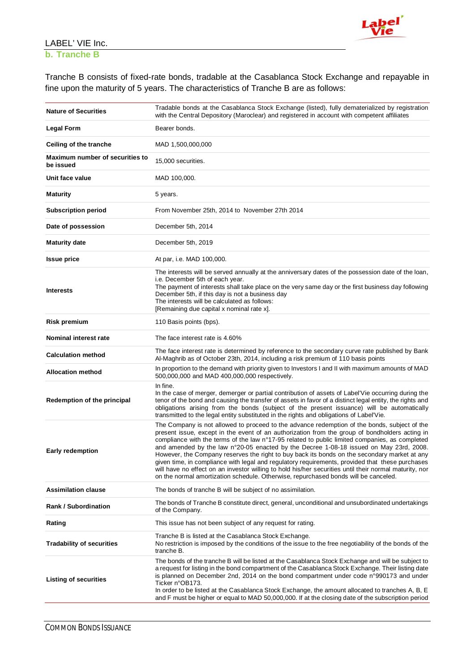

## **b. Tranche B**

Tranche B consists of fixed-rate bonds, tradable at the Casablanca Stock Exchange and repayable in fine upon the maturity of 5 years. The characteristics of Tranche B are as follows:

| <b>Nature of Securities</b>                  | Tradable bonds at the Casablanca Stock Exchange (listed), fully dematerialized by registration<br>with the Central Depository (Maroclear) and registered in account with competent affiliates                                                                                                                                                                                                                                                                                                                                                                                                                                                                                                                                                                                                  |
|----------------------------------------------|------------------------------------------------------------------------------------------------------------------------------------------------------------------------------------------------------------------------------------------------------------------------------------------------------------------------------------------------------------------------------------------------------------------------------------------------------------------------------------------------------------------------------------------------------------------------------------------------------------------------------------------------------------------------------------------------------------------------------------------------------------------------------------------------|
| <b>Legal Form</b>                            | Bearer bonds.                                                                                                                                                                                                                                                                                                                                                                                                                                                                                                                                                                                                                                                                                                                                                                                  |
| Ceiling of the tranche                       | MAD 1,500,000,000                                                                                                                                                                                                                                                                                                                                                                                                                                                                                                                                                                                                                                                                                                                                                                              |
| Maximum number of securities to<br>be issued | 15,000 securities.                                                                                                                                                                                                                                                                                                                                                                                                                                                                                                                                                                                                                                                                                                                                                                             |
| Unit face value                              | MAD 100,000.                                                                                                                                                                                                                                                                                                                                                                                                                                                                                                                                                                                                                                                                                                                                                                                   |
| <b>Maturity</b>                              | 5 years.                                                                                                                                                                                                                                                                                                                                                                                                                                                                                                                                                                                                                                                                                                                                                                                       |
| <b>Subscription period</b>                   | From November 25th, 2014 to November 27th 2014                                                                                                                                                                                                                                                                                                                                                                                                                                                                                                                                                                                                                                                                                                                                                 |
| Date of possession                           | December 5th, 2014                                                                                                                                                                                                                                                                                                                                                                                                                                                                                                                                                                                                                                                                                                                                                                             |
| <b>Maturity date</b>                         | December 5th, 2019                                                                                                                                                                                                                                                                                                                                                                                                                                                                                                                                                                                                                                                                                                                                                                             |
| <b>Issue price</b>                           | At par, i.e. MAD 100,000.                                                                                                                                                                                                                                                                                                                                                                                                                                                                                                                                                                                                                                                                                                                                                                      |
| <b>Interests</b>                             | The interests will be served annually at the anniversary dates of the possession date of the loan,<br>i.e. December 5th of each year.<br>The payment of interests shall take place on the very same day or the first business day following<br>December 5th, if this day is not a business day<br>The interests will be calculated as follows:<br>[Remaining due capital x nominal rate x].                                                                                                                                                                                                                                                                                                                                                                                                    |
| <b>Risk premium</b>                          | 110 Basis points (bps).                                                                                                                                                                                                                                                                                                                                                                                                                                                                                                                                                                                                                                                                                                                                                                        |
| Nominal interest rate                        | The face interest rate is 4.60%                                                                                                                                                                                                                                                                                                                                                                                                                                                                                                                                                                                                                                                                                                                                                                |
| <b>Calculation method</b>                    | The face interest rate is determined by reference to the secondary curve rate published by Bank<br>Al-Maghrib as of October 23th, 2014, including a risk premium of 110 basis points                                                                                                                                                                                                                                                                                                                                                                                                                                                                                                                                                                                                           |
| <b>Allocation method</b>                     | In proportion to the demand with priority given to Investors I and II with maximum amounts of MAD<br>500,000,000 and MAD 400,000,000 respectively.                                                                                                                                                                                                                                                                                                                                                                                                                                                                                                                                                                                                                                             |
| Redemption of the principal                  | In fine.<br>In the case of merger, demerger or partial contribution of assets of Label'Vie occurring during the<br>tenor of the bond and causing the transfer of assets in favor of a distinct legal entity, the rights and<br>obligations arising from the bonds (subject of the present issuance) will be automatically<br>transmitted to the legal entity substituted in the rights and obligations of Label'Vie.                                                                                                                                                                                                                                                                                                                                                                           |
| Early redemption                             | The Company is not allowed to proceed to the advance redemption of the bonds, subject of the<br>present issue, except in the event of an authorization from the group of bondholders acting in<br>compliance with the terms of the law n°17-95 related to public limited companies, as completed<br>and amended by the law n°20-05 enacted by the Decree 1-08-18 issued on May 23rd, 2008.<br>However, the Company reserves the right to buy back its bonds on the secondary market at any<br>given time, in compliance with legal and regulatory requirements, provided that these purchases<br>will have no effect on an investor willing to hold his/her securities until their normal maturity, nor<br>on the normal amortization schedule. Otherwise, repurchased bonds will be canceled. |
| <b>Assimilation clause</b>                   | The bonds of tranche B will be subject of no assimilation.                                                                                                                                                                                                                                                                                                                                                                                                                                                                                                                                                                                                                                                                                                                                     |
| <b>Rank / Subordination</b>                  | The bonds of Tranche B constitute direct, general, unconditional and unsubordinated undertakings<br>of the Company.                                                                                                                                                                                                                                                                                                                                                                                                                                                                                                                                                                                                                                                                            |
| Rating                                       | This issue has not been subject of any request for rating.                                                                                                                                                                                                                                                                                                                                                                                                                                                                                                                                                                                                                                                                                                                                     |
| <b>Tradability of securities</b>             | Tranche B is listed at the Casablanca Stock Exchange.<br>No restriction is imposed by the conditions of the issue to the free negotiability of the bonds of the<br>tranche B.                                                                                                                                                                                                                                                                                                                                                                                                                                                                                                                                                                                                                  |
| <b>Listing of securities</b>                 | The bonds of the tranche B will be listed at the Casablanca Stock Exchange and will be subject to<br>a request for listing in the bond compartment of the Casablanca Stock Exchange. Their listing date<br>is planned on December 2nd, 2014 on the bond compartment under code n°990173 and under<br>Ticker n°OB173.<br>In order to be listed at the Casablanca Stock Exchange, the amount allocated to tranches A, B, E<br>and F must be higher or equal to MAD 50,000,000. If at the closing date of the subscription period                                                                                                                                                                                                                                                                 |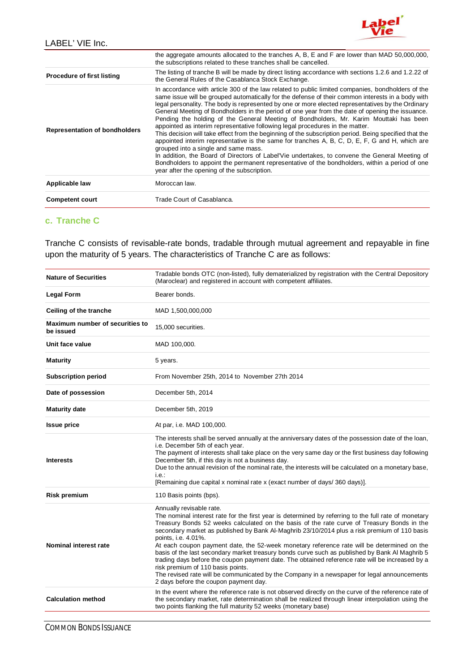

|                                      | the aggregate amounts allocated to the tranches A, B, E and F are lower than MAD 50,000,000,<br>the subscriptions related to these tranches shall be cancelled.                                                                                                                                                                                                                                                                                                                                                                                                                                                                                                                                                                                                                                                                                                                                                                                                                                                                                                                                  |
|--------------------------------------|--------------------------------------------------------------------------------------------------------------------------------------------------------------------------------------------------------------------------------------------------------------------------------------------------------------------------------------------------------------------------------------------------------------------------------------------------------------------------------------------------------------------------------------------------------------------------------------------------------------------------------------------------------------------------------------------------------------------------------------------------------------------------------------------------------------------------------------------------------------------------------------------------------------------------------------------------------------------------------------------------------------------------------------------------------------------------------------------------|
| <b>Procedure of first listing</b>    | The listing of tranche B will be made by direct listing accordance with sections 1.2.6 and 1.2.22 of<br>the General Rules of the Casablanca Stock Exchange.                                                                                                                                                                                                                                                                                                                                                                                                                                                                                                                                                                                                                                                                                                                                                                                                                                                                                                                                      |
| <b>Representation of bondholders</b> | In accordance with article 300 of the law related to public limited companies, bondholders of the<br>same issue will be grouped automatically for the defense of their common interests in a body with<br>legal personality. The body is represented by one or more elected representatives by the Ordinary<br>General Meeting of Bondholders in the period of one year from the date of opening the issuance.<br>Pending the holding of the General Meeting of Bondholders, Mr. Karim Mouttaki has been<br>appointed as interim representative following legal procedures in the matter.<br>This decision will take effect from the beginning of the subscription period. Being specified that the<br>appointed interim representative is the same for tranches A, B, C, D, E, F, G and H, which are<br>grouped into a single and same mass.<br>In addition, the Board of Directors of Label'Vie undertakes, to convene the General Meeting of<br>Bondholders to appoint the permanent representative of the bondholders, within a period of one<br>year after the opening of the subscription. |
| Applicable law                       | Moroccan law.                                                                                                                                                                                                                                                                                                                                                                                                                                                                                                                                                                                                                                                                                                                                                                                                                                                                                                                                                                                                                                                                                    |
| <b>Competent court</b>               | Trade Court of Casablanca.                                                                                                                                                                                                                                                                                                                                                                                                                                                                                                                                                                                                                                                                                                                                                                                                                                                                                                                                                                                                                                                                       |

#### **c. Tranche C**

Tranche C consists of revisable-rate bonds, tradable through mutual agreement and repayable in fine upon the maturity of 5 years. The characteristics of Tranche C are as follows:

| Tradable bonds OTC (non-listed), fully dematerialized by registration with the Central Depository<br>(Maroclear) and registered in account with competent affiliates.                                                                                                                                                                                                                                                                                                                                                                                                                                                                                                                                                                                                                                                                 |
|---------------------------------------------------------------------------------------------------------------------------------------------------------------------------------------------------------------------------------------------------------------------------------------------------------------------------------------------------------------------------------------------------------------------------------------------------------------------------------------------------------------------------------------------------------------------------------------------------------------------------------------------------------------------------------------------------------------------------------------------------------------------------------------------------------------------------------------|
| Bearer bonds.                                                                                                                                                                                                                                                                                                                                                                                                                                                                                                                                                                                                                                                                                                                                                                                                                         |
| MAD 1,500,000,000                                                                                                                                                                                                                                                                                                                                                                                                                                                                                                                                                                                                                                                                                                                                                                                                                     |
| 15,000 securities.                                                                                                                                                                                                                                                                                                                                                                                                                                                                                                                                                                                                                                                                                                                                                                                                                    |
| MAD 100,000.                                                                                                                                                                                                                                                                                                                                                                                                                                                                                                                                                                                                                                                                                                                                                                                                                          |
| 5 years.                                                                                                                                                                                                                                                                                                                                                                                                                                                                                                                                                                                                                                                                                                                                                                                                                              |
| From November 25th, 2014 to November 27th 2014                                                                                                                                                                                                                                                                                                                                                                                                                                                                                                                                                                                                                                                                                                                                                                                        |
| December 5th, 2014                                                                                                                                                                                                                                                                                                                                                                                                                                                                                                                                                                                                                                                                                                                                                                                                                    |
| December 5th, 2019                                                                                                                                                                                                                                                                                                                                                                                                                                                                                                                                                                                                                                                                                                                                                                                                                    |
| At par, i.e. MAD 100,000.                                                                                                                                                                                                                                                                                                                                                                                                                                                                                                                                                                                                                                                                                                                                                                                                             |
| The interests shall be served annually at the anniversary dates of the possession date of the loan,<br>i.e. December 5th of each year.<br>The payment of interests shall take place on the very same day or the first business day following<br>December 5th, if this day is not a business day.<br>Due to the annual revision of the nominal rate, the interests will be calculated on a monetary base,<br>i.e.:<br>[Remaining due capital x nominal rate x (exact number of days/360 days)].                                                                                                                                                                                                                                                                                                                                        |
| 110 Basis points (bps).                                                                                                                                                                                                                                                                                                                                                                                                                                                                                                                                                                                                                                                                                                                                                                                                               |
| Annually revisable rate.<br>The nominal interest rate for the first year is determined by referring to the full rate of monetary<br>Treasury Bonds 52 weeks calculated on the basis of the rate curve of Treasury Bonds in the<br>secondary market as published by Bank Al-Maghrib 23/10/2014 plus a risk premium of 110 basis<br>points, i.e. 4.01%.<br>At each coupon payment date, the 52-week monetary reference rate will be determined on the<br>basis of the last secondary market treasury bonds curve such as published by Bank Al Maghrib 5<br>trading days before the coupon payment date. The obtained reference rate will be increased by a<br>risk premium of 110 basis points.<br>The revised rate will be communicated by the Company in a newspaper for legal announcements<br>2 days before the coupon payment day. |
| In the event where the reference rate is not observed directly on the curve of the reference rate of<br>the secondary market, rate determination shall be realized through linear interpolation using the<br>two points flanking the full maturity 52 weeks (monetary base)                                                                                                                                                                                                                                                                                                                                                                                                                                                                                                                                                           |
|                                                                                                                                                                                                                                                                                                                                                                                                                                                                                                                                                                                                                                                                                                                                                                                                                                       |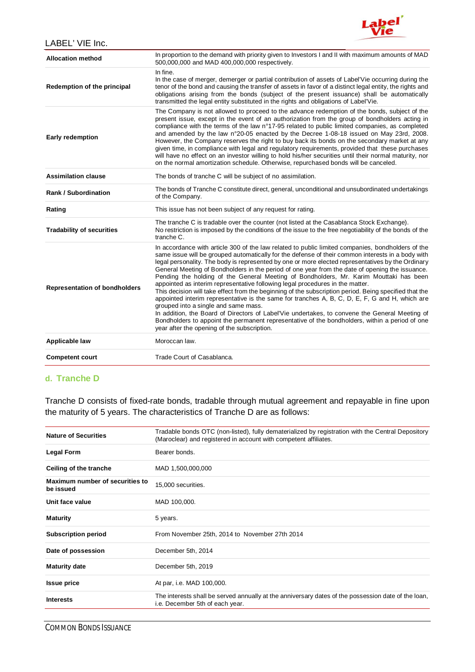

| <b>Allocation method</b>             | In proportion to the demand with priority given to Investors I and II with maximum amounts of MAD<br>500,000,000 and MAD 400,000,000 respectively.                                                                                                                                                                                                                                                                                                                                                                                                                                                                                                                                                                                                                                                                                                                                                                                                                                                                                                                                               |
|--------------------------------------|--------------------------------------------------------------------------------------------------------------------------------------------------------------------------------------------------------------------------------------------------------------------------------------------------------------------------------------------------------------------------------------------------------------------------------------------------------------------------------------------------------------------------------------------------------------------------------------------------------------------------------------------------------------------------------------------------------------------------------------------------------------------------------------------------------------------------------------------------------------------------------------------------------------------------------------------------------------------------------------------------------------------------------------------------------------------------------------------------|
| Redemption of the principal          | In fine.<br>In the case of merger, demerger or partial contribution of assets of Label'Vie occurring during the<br>tenor of the bond and causing the transfer of assets in favor of a distinct legal entity, the rights and<br>obligations arising from the bonds (subject of the present issuance) shall be automatically<br>transmitted the legal entity substituted in the rights and obligations of Label'Vie.                                                                                                                                                                                                                                                                                                                                                                                                                                                                                                                                                                                                                                                                               |
| <b>Early redemption</b>              | The Company is not allowed to proceed to the advance redemption of the bonds, subject of the<br>present issue, except in the event of an authorization from the group of bondholders acting in<br>compliance with the terms of the law n°17-95 related to public limited companies, as completed<br>and amended by the law n°20-05 enacted by the Decree 1-08-18 issued on May 23rd, 2008.<br>However, the Company reserves the right to buy back its bonds on the secondary market at any<br>given time, in compliance with legal and regulatory requirements, provided that these purchases<br>will have no effect on an investor willing to hold his/her securities until their normal maturity, nor<br>on the normal amortization schedule. Otherwise, repurchased bonds will be canceled.                                                                                                                                                                                                                                                                                                   |
| <b>Assimilation clause</b>           | The bonds of tranche C will be subject of no assimilation.                                                                                                                                                                                                                                                                                                                                                                                                                                                                                                                                                                                                                                                                                                                                                                                                                                                                                                                                                                                                                                       |
| <b>Rank / Subordination</b>          | The bonds of Tranche C constitute direct, general, unconditional and unsubordinated undertakings<br>of the Company.                                                                                                                                                                                                                                                                                                                                                                                                                                                                                                                                                                                                                                                                                                                                                                                                                                                                                                                                                                              |
| Rating                               | This issue has not been subject of any request for rating.                                                                                                                                                                                                                                                                                                                                                                                                                                                                                                                                                                                                                                                                                                                                                                                                                                                                                                                                                                                                                                       |
| <b>Tradability of securities</b>     | The tranche C is tradable over the counter (not listed at the Casablanca Stock Exchange).<br>No restriction is imposed by the conditions of the issue to the free negotiability of the bonds of the<br>tranche C.                                                                                                                                                                                                                                                                                                                                                                                                                                                                                                                                                                                                                                                                                                                                                                                                                                                                                |
| <b>Representation of bondholders</b> | In accordance with article 300 of the law related to public limited companies, bondholders of the<br>same issue will be grouped automatically for the defense of their common interests in a body with<br>legal personality. The body is represented by one or more elected representatives by the Ordinary<br>General Meeting of Bondholders in the period of one year from the date of opening the issuance.<br>Pending the holding of the General Meeting of Bondholders, Mr. Karim Mouttaki has been<br>appointed as interim representative following legal procedures in the matter.<br>This decision will take effect from the beginning of the subscription period. Being specified that the<br>appointed interim representative is the same for tranches A, B, C, D, E, F, G and H, which are<br>grouped into a single and same mass.<br>In addition, the Board of Directors of Label'Vie undertakes, to convene the General Meeting of<br>Bondholders to appoint the permanent representative of the bondholders, within a period of one<br>year after the opening of the subscription. |
| Applicable law                       | Moroccan law.                                                                                                                                                                                                                                                                                                                                                                                                                                                                                                                                                                                                                                                                                                                                                                                                                                                                                                                                                                                                                                                                                    |
| <b>Competent court</b>               | Trade Court of Casablanca.                                                                                                                                                                                                                                                                                                                                                                                                                                                                                                                                                                                                                                                                                                                                                                                                                                                                                                                                                                                                                                                                       |

## **d. Tranche D**

Tranche D consists of fixed-rate bonds, tradable through mutual agreement and repayable in fine upon the maturity of 5 years. The characteristics of Tranche D are as follows:

| <b>Nature of Securities</b>                  | Tradable bonds OTC (non-listed), fully dematerialized by registration with the Central Depository<br>(Maroclear) and registered in account with competent affiliates. |
|----------------------------------------------|-----------------------------------------------------------------------------------------------------------------------------------------------------------------------|
| <b>Legal Form</b>                            | Bearer bonds.                                                                                                                                                         |
| Ceiling of the tranche                       | MAD 1,500,000,000                                                                                                                                                     |
| Maximum number of securities to<br>be issued | 15,000 securities.                                                                                                                                                    |
| Unit face value                              | MAD 100,000.                                                                                                                                                          |
| <b>Maturity</b>                              | 5 years.                                                                                                                                                              |
| <b>Subscription period</b>                   | From November 25th, 2014 to November 27th 2014                                                                                                                        |
| Date of possession                           | December 5th, 2014                                                                                                                                                    |
| <b>Maturity date</b>                         | December 5th, 2019                                                                                                                                                    |
| <b>Issue price</b>                           | At par, i.e. MAD 100,000.                                                                                                                                             |
| <b>Interests</b>                             | The interests shall be served annually at the anniversary dates of the possession date of the loan,<br>i.e. December 5th of each year.                                |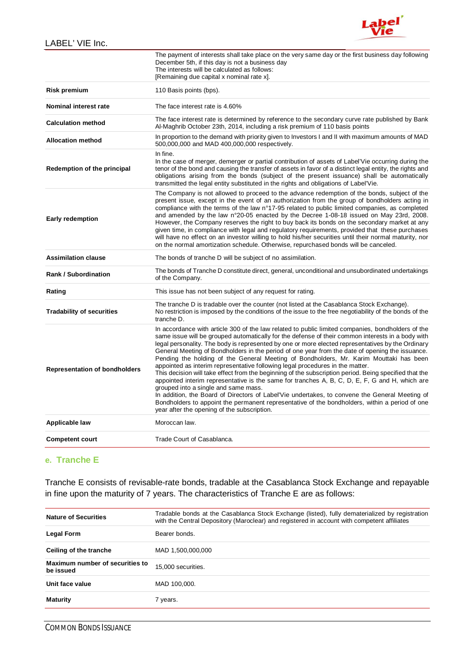

|                                      | The payment of interests shall take place on the very same day or the first business day following<br>December 5th, if this day is not a business day<br>The interests will be calculated as follows:<br>[Remaining due capital x nominal rate x].                                                                                                                                                                                                                                                                                                                                                                                                                                                                                                                                                                                                                                                                                                                                                                                                                                               |
|--------------------------------------|--------------------------------------------------------------------------------------------------------------------------------------------------------------------------------------------------------------------------------------------------------------------------------------------------------------------------------------------------------------------------------------------------------------------------------------------------------------------------------------------------------------------------------------------------------------------------------------------------------------------------------------------------------------------------------------------------------------------------------------------------------------------------------------------------------------------------------------------------------------------------------------------------------------------------------------------------------------------------------------------------------------------------------------------------------------------------------------------------|
| <b>Risk premium</b>                  | 110 Basis points (bps).                                                                                                                                                                                                                                                                                                                                                                                                                                                                                                                                                                                                                                                                                                                                                                                                                                                                                                                                                                                                                                                                          |
| Nominal interest rate                | The face interest rate is 4.60%                                                                                                                                                                                                                                                                                                                                                                                                                                                                                                                                                                                                                                                                                                                                                                                                                                                                                                                                                                                                                                                                  |
| <b>Calculation method</b>            | The face interest rate is determined by reference to the secondary curve rate published by Bank<br>Al-Maghrib October 23th, 2014, including a risk premium of 110 basis points                                                                                                                                                                                                                                                                                                                                                                                                                                                                                                                                                                                                                                                                                                                                                                                                                                                                                                                   |
| <b>Allocation method</b>             | In proportion to the demand with priority given to Investors I and II with maximum amounts of MAD<br>500,000,000 and MAD 400,000,000 respectively.                                                                                                                                                                                                                                                                                                                                                                                                                                                                                                                                                                                                                                                                                                                                                                                                                                                                                                                                               |
| Redemption of the principal          | In fine.<br>In the case of merger, demerger or partial contribution of assets of Label'Vie occurring during the<br>tenor of the bond and causing the transfer of assets in favor of a distinct legal entity, the rights and<br>obligations arising from the bonds (subject of the present issuance) shall be automatically<br>transmitted the legal entity substituted in the rights and obligations of Label'Vie.                                                                                                                                                                                                                                                                                                                                                                                                                                                                                                                                                                                                                                                                               |
| <b>Early redemption</b>              | The Company is not allowed to proceed to the advance redemption of the bonds, subject of the<br>present issue, except in the event of an authorization from the group of bondholders acting in<br>compliance with the terms of the law n°17-95 related to public limited companies, as completed<br>and amended by the law n°20-05 enacted by the Decree 1-08-18 issued on May 23rd, 2008.<br>However, the Company reserves the right to buy back its bonds on the secondary market at any<br>given time, in compliance with legal and regulatory requirements, provided that these purchases<br>will have no effect on an investor willing to hold his/her securities until their normal maturity, nor<br>on the normal amortization schedule. Otherwise, repurchased bonds will be canceled.                                                                                                                                                                                                                                                                                                   |
| <b>Assimilation clause</b>           | The bonds of tranche D will be subject of no assimilation.                                                                                                                                                                                                                                                                                                                                                                                                                                                                                                                                                                                                                                                                                                                                                                                                                                                                                                                                                                                                                                       |
| <b>Rank / Subordination</b>          | The bonds of Tranche D constitute direct, general, unconditional and unsubordinated undertakings<br>of the Company.                                                                                                                                                                                                                                                                                                                                                                                                                                                                                                                                                                                                                                                                                                                                                                                                                                                                                                                                                                              |
| Rating                               | This issue has not been subject of any request for rating.                                                                                                                                                                                                                                                                                                                                                                                                                                                                                                                                                                                                                                                                                                                                                                                                                                                                                                                                                                                                                                       |
| <b>Tradability of securities</b>     | The tranche D is tradable over the counter (not listed at the Casablanca Stock Exchange).<br>No restriction is imposed by the conditions of the issue to the free negotiability of the bonds of the                                                                                                                                                                                                                                                                                                                                                                                                                                                                                                                                                                                                                                                                                                                                                                                                                                                                                              |
|                                      | tranche D.                                                                                                                                                                                                                                                                                                                                                                                                                                                                                                                                                                                                                                                                                                                                                                                                                                                                                                                                                                                                                                                                                       |
| <b>Representation of bondholders</b> | In accordance with article 300 of the law related to public limited companies, bondholders of the<br>same issue will be grouped automatically for the defense of their common interests in a body with<br>legal personality. The body is represented by one or more elected representatives by the Ordinary<br>General Meeting of Bondholders in the period of one year from the date of opening the issuance.<br>Pending the holding of the General Meeting of Bondholders, Mr. Karim Mouttaki has been<br>appointed as interim representative following legal procedures in the matter.<br>This decision will take effect from the beginning of the subscription period. Being specified that the<br>appointed interim representative is the same for tranches A, B, C, D, E, F, G and H, which are<br>grouped into a single and same mass.<br>In addition, the Board of Directors of Label'Vie undertakes, to convene the General Meeting of<br>Bondholders to appoint the permanent representative of the bondholders, within a period of one<br>year after the opening of the subscription. |
| Applicable law                       | Moroccan law.                                                                                                                                                                                                                                                                                                                                                                                                                                                                                                                                                                                                                                                                                                                                                                                                                                                                                                                                                                                                                                                                                    |

#### **e. Tranche E**

Tranche E consists of revisable-rate bonds, tradable at the Casablanca Stock Exchange and repayable in fine upon the maturity of 7 years. The characteristics of Tranche E are as follows:

| <b>Nature of Securities</b>                  | Tradable bonds at the Casablanca Stock Exchange (listed), fully dematerialized by registration<br>with the Central Depository (Maroclear) and registered in account with competent affiliates |
|----------------------------------------------|-----------------------------------------------------------------------------------------------------------------------------------------------------------------------------------------------|
| <b>Legal Form</b>                            | Bearer bonds.                                                                                                                                                                                 |
| Ceiling of the tranche                       | MAD 1,500,000,000                                                                                                                                                                             |
| Maximum number of securities to<br>be issued | 15,000 securities.                                                                                                                                                                            |
| Unit face value                              | MAD 100,000.                                                                                                                                                                                  |
| <b>Maturity</b>                              | 7 years.                                                                                                                                                                                      |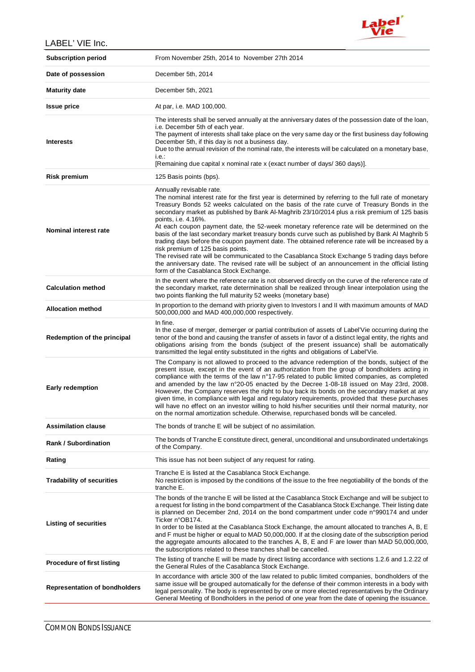

| <b>Subscription period</b>           | From November 25th, 2014 to November 27th 2014                                                                                                                                                                                                                                                                                                                                                                                                                                                                                                                                                                                                                                                                                                                                                                                                                                                                                               |
|--------------------------------------|----------------------------------------------------------------------------------------------------------------------------------------------------------------------------------------------------------------------------------------------------------------------------------------------------------------------------------------------------------------------------------------------------------------------------------------------------------------------------------------------------------------------------------------------------------------------------------------------------------------------------------------------------------------------------------------------------------------------------------------------------------------------------------------------------------------------------------------------------------------------------------------------------------------------------------------------|
| Date of possession                   | December 5th, 2014                                                                                                                                                                                                                                                                                                                                                                                                                                                                                                                                                                                                                                                                                                                                                                                                                                                                                                                           |
| <b>Maturity date</b>                 | December 5th, 2021                                                                                                                                                                                                                                                                                                                                                                                                                                                                                                                                                                                                                                                                                                                                                                                                                                                                                                                           |
| <b>Issue price</b>                   | At par, i.e. MAD 100,000.                                                                                                                                                                                                                                                                                                                                                                                                                                                                                                                                                                                                                                                                                                                                                                                                                                                                                                                    |
| <b>Interests</b>                     | The interests shall be served annually at the anniversary dates of the possession date of the loan,<br>i.e. December 5th of each year.<br>The payment of interests shall take place on the very same day or the first business day following<br>December 5th, if this day is not a business day.<br>Due to the annual revision of the nominal rate, the interests will be calculated on a monetary base,<br>$i.e.$ :<br>[Remaining due capital x nominal rate x (exact number of days/360 days)].                                                                                                                                                                                                                                                                                                                                                                                                                                            |
| <b>Risk premium</b>                  | 125 Basis points (bps).                                                                                                                                                                                                                                                                                                                                                                                                                                                                                                                                                                                                                                                                                                                                                                                                                                                                                                                      |
| Nominal interest rate                | Annually revisable rate.<br>The nominal interest rate for the first year is determined by referring to the full rate of monetary<br>Treasury Bonds 52 weeks calculated on the basis of the rate curve of Treasury Bonds in the<br>secondary market as published by Bank Al-Maghrib 23/10/2014 plus a risk premium of 125 basis<br>points, i.e. 4.16%.<br>At each coupon payment date, the 52-week monetary reference rate will be determined on the<br>basis of the last secondary market treasury bonds curve such as published by Bank Al Maghrib 5<br>trading days before the coupon payment date. The obtained reference rate will be increased by a<br>risk premium of 125 basis points.<br>The revised rate will be communicated to the Casablanca Stock Exchange 5 trading days before<br>the anniversary date. The revised rate will be subject of an announcement in the official listing<br>form of the Casablanca Stock Exchange. |
| <b>Calculation method</b>            | In the event where the reference rate is not observed directly on the curve of the reference rate of<br>the secondary market, rate determination shall be realized through linear interpolation using the<br>two points flanking the full maturity 52 weeks (monetary base)                                                                                                                                                                                                                                                                                                                                                                                                                                                                                                                                                                                                                                                                  |
| <b>Allocation method</b>             | In proportion to the demand with priority given to Investors I and II with maximum amounts of MAD<br>500,000,000 and MAD 400,000,000 respectively.                                                                                                                                                                                                                                                                                                                                                                                                                                                                                                                                                                                                                                                                                                                                                                                           |
| Redemption of the principal          | In fine.<br>In the case of merger, demerger or partial contribution of assets of Label'Vie occurring during the<br>tenor of the bond and causing the transfer of assets in favor of a distinct legal entity, the rights and<br>obligations arising from the bonds (subject of the present issuance) shall be automatically<br>transmitted the legal entity substituted in the rights and obligations of Label'Vie.                                                                                                                                                                                                                                                                                                                                                                                                                                                                                                                           |
| <b>Early redemption</b>              | The Company is not allowed to proceed to the advance redemption of the bonds, subject of the<br>present issue, except in the event of an authorization from the group of bondholders acting in<br>compliance with the terms of the law n°17-95 related to public limited companies, as completed<br>and amended by the law n°20-05 enacted by the Decree 1-08-18 issued on May 23rd, 2008.<br>However, the Company reserves the right to buy back its bonds on the secondary market at any<br>given time, in compliance with legal and regulatory requirements, provided that these purchases<br>will have no effect on an investor willing to hold his/her securities until their normal maturity, nor<br>on the normal amortization schedule. Otherwise, repurchased bonds will be canceled.                                                                                                                                               |
| <b>Assimilation clause</b>           | The bonds of tranche E will be subject of no assimilation.                                                                                                                                                                                                                                                                                                                                                                                                                                                                                                                                                                                                                                                                                                                                                                                                                                                                                   |
| <b>Rank / Subordination</b>          | The bonds of Tranche E constitute direct, general, unconditional and unsubordinated undertakings<br>of the Company.                                                                                                                                                                                                                                                                                                                                                                                                                                                                                                                                                                                                                                                                                                                                                                                                                          |
| Rating                               | This issue has not been subject of any request for rating.                                                                                                                                                                                                                                                                                                                                                                                                                                                                                                                                                                                                                                                                                                                                                                                                                                                                                   |
| <b>Tradability of securities</b>     | Tranche E is listed at the Casablanca Stock Exchange.<br>No restriction is imposed by the conditions of the issue to the free negotiability of the bonds of the<br>tranche E.                                                                                                                                                                                                                                                                                                                                                                                                                                                                                                                                                                                                                                                                                                                                                                |
| <b>Listing of securities</b>         | The bonds of the tranche E will be listed at the Casablanca Stock Exchange and will be subject to<br>a request for listing in the bond compartment of the Casablanca Stock Exchange. Their listing date<br>is planned on December 2nd, 2014 on the bond compartment under code n°990174 and under<br>Ticker n°OB174.<br>In order to be listed at the Casablanca Stock Exchange, the amount allocated to tranches A, B, E<br>and F must be higher or equal to MAD 50,000,000. If at the closing date of the subscription period<br>the aggregate amounts allocated to the tranches A, B, E and F are lower than MAD 50,000,000,<br>the subscriptions related to these tranches shall be cancelled.                                                                                                                                                                                                                                            |
| <b>Procedure of first listing</b>    | The listing of tranche E will be made by direct listing accordance with sections 1.2.6 and 1.2.22 of<br>the General Rules of the Casablanca Stock Exchange.                                                                                                                                                                                                                                                                                                                                                                                                                                                                                                                                                                                                                                                                                                                                                                                  |
| <b>Representation of bondholders</b> | In accordance with article 300 of the law related to public limited companies, bondholders of the<br>same issue will be grouped automatically for the defense of their common interests in a body with<br>legal personality. The body is represented by one or more elected representatives by the Ordinary<br>General Meeting of Bondholders in the period of one year from the date of opening the issuance.                                                                                                                                                                                                                                                                                                                                                                                                                                                                                                                               |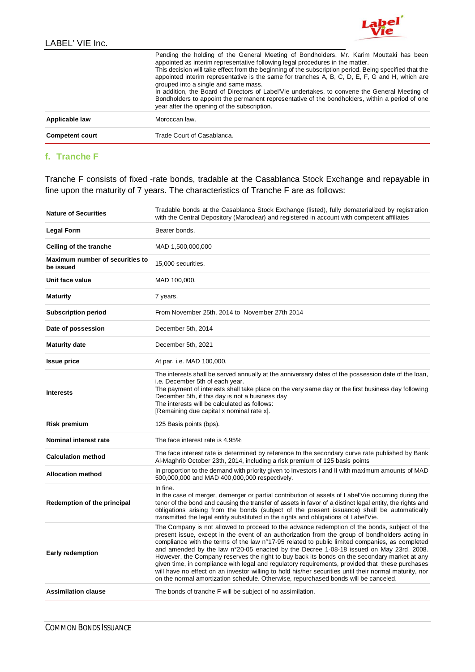

|                        | Pending the holding of the General Meeting of Bondholders, Mr. Karim Mouttaki has been<br>appointed as interim representative following legal procedures in the matter.<br>This decision will take effect from the beginning of the subscription period. Being specified that the<br>appointed interim representative is the same for tranches A, B, C, D, E, F, G and H, which are<br>grouped into a single and same mass.<br>In addition, the Board of Directors of Label'Vie undertakes, to convene the General Meeting of<br>Bondholders to appoint the permanent representative of the bondholders, within a period of one<br>year after the opening of the subscription. |
|------------------------|--------------------------------------------------------------------------------------------------------------------------------------------------------------------------------------------------------------------------------------------------------------------------------------------------------------------------------------------------------------------------------------------------------------------------------------------------------------------------------------------------------------------------------------------------------------------------------------------------------------------------------------------------------------------------------|
| Applicable law         | Moroccan law.                                                                                                                                                                                                                                                                                                                                                                                                                                                                                                                                                                                                                                                                  |
| <b>Competent court</b> | Trade Court of Casablanca.                                                                                                                                                                                                                                                                                                                                                                                                                                                                                                                                                                                                                                                     |

## **f. Tranche F**

Tranche F consists of fixed -rate bonds, tradable at the Casablanca Stock Exchange and repayable in fine upon the maturity of 7 years. The characteristics of Tranche F are as follows:

| <b>Nature of Securities</b>                  | Tradable bonds at the Casablanca Stock Exchange (listed), fully dematerialized by registration<br>with the Central Depository (Maroclear) and registered in account with competent affiliates                                                                                                                                                                                                                                                                                                                                                                                                                                                                                                                                                                                                  |
|----------------------------------------------|------------------------------------------------------------------------------------------------------------------------------------------------------------------------------------------------------------------------------------------------------------------------------------------------------------------------------------------------------------------------------------------------------------------------------------------------------------------------------------------------------------------------------------------------------------------------------------------------------------------------------------------------------------------------------------------------------------------------------------------------------------------------------------------------|
| <b>Legal Form</b>                            | Bearer bonds.                                                                                                                                                                                                                                                                                                                                                                                                                                                                                                                                                                                                                                                                                                                                                                                  |
| Ceiling of the tranche                       | MAD 1,500,000,000                                                                                                                                                                                                                                                                                                                                                                                                                                                                                                                                                                                                                                                                                                                                                                              |
| Maximum number of securities to<br>be issued | 15,000 securities.                                                                                                                                                                                                                                                                                                                                                                                                                                                                                                                                                                                                                                                                                                                                                                             |
| Unit face value                              | MAD 100,000.                                                                                                                                                                                                                                                                                                                                                                                                                                                                                                                                                                                                                                                                                                                                                                                   |
| <b>Maturity</b>                              | 7 years.                                                                                                                                                                                                                                                                                                                                                                                                                                                                                                                                                                                                                                                                                                                                                                                       |
| <b>Subscription period</b>                   | From November 25th, 2014 to November 27th 2014                                                                                                                                                                                                                                                                                                                                                                                                                                                                                                                                                                                                                                                                                                                                                 |
| Date of possession                           | December 5th, 2014                                                                                                                                                                                                                                                                                                                                                                                                                                                                                                                                                                                                                                                                                                                                                                             |
| <b>Maturity date</b>                         | December 5th, 2021                                                                                                                                                                                                                                                                                                                                                                                                                                                                                                                                                                                                                                                                                                                                                                             |
| <b>Issue price</b>                           | At par, i.e. MAD 100,000.                                                                                                                                                                                                                                                                                                                                                                                                                                                                                                                                                                                                                                                                                                                                                                      |
| <b>Interests</b>                             | The interests shall be served annually at the anniversary dates of the possession date of the loan,<br>i.e. December 5th of each year.<br>The payment of interests shall take place on the very same day or the first business day following<br>December 5th, if this day is not a business day<br>The interests will be calculated as follows:<br>[Remaining due capital x nominal rate x].                                                                                                                                                                                                                                                                                                                                                                                                   |
| <b>Risk premium</b>                          | 125 Basis points (bps).                                                                                                                                                                                                                                                                                                                                                                                                                                                                                                                                                                                                                                                                                                                                                                        |
| Nominal interest rate                        | The face interest rate is 4.95%                                                                                                                                                                                                                                                                                                                                                                                                                                                                                                                                                                                                                                                                                                                                                                |
| <b>Calculation method</b>                    | The face interest rate is determined by reference to the secondary curve rate published by Bank<br>Al-Maghrib October 23th, 2014, including a risk premium of 125 basis points                                                                                                                                                                                                                                                                                                                                                                                                                                                                                                                                                                                                                 |
| <b>Allocation method</b>                     | In proportion to the demand with priority given to Investors I and II with maximum amounts of MAD<br>500,000,000 and MAD 400,000,000 respectively.                                                                                                                                                                                                                                                                                                                                                                                                                                                                                                                                                                                                                                             |
| Redemption of the principal                  | In fine.<br>In the case of merger, demerger or partial contribution of assets of Label'Vie occurring during the<br>tenor of the bond and causing the transfer of assets in favor of a distinct legal entity, the rights and<br>obligations arising from the bonds (subject of the present issuance) shall be automatically<br>transmitted the legal entity substituted in the rights and obligations of Label'Vie.                                                                                                                                                                                                                                                                                                                                                                             |
| <b>Early redemption</b>                      | The Company is not allowed to proceed to the advance redemption of the bonds, subject of the<br>present issue, except in the event of an authorization from the group of bondholders acting in<br>compliance with the terms of the law n°17-95 related to public limited companies, as completed<br>and amended by the law n°20-05 enacted by the Decree 1-08-18 issued on May 23rd, 2008.<br>However, the Company reserves the right to buy back its bonds on the secondary market at any<br>given time, in compliance with legal and regulatory requirements, provided that these purchases<br>will have no effect on an investor willing to hold his/her securities until their normal maturity, nor<br>on the normal amortization schedule. Otherwise, repurchased bonds will be canceled. |
| <b>Assimilation clause</b>                   | The bonds of tranche F will be subject of no assimilation.                                                                                                                                                                                                                                                                                                                                                                                                                                                                                                                                                                                                                                                                                                                                     |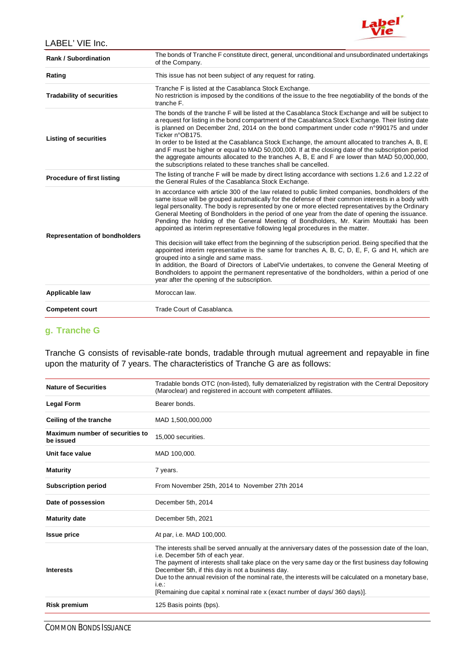

| <b>Rank / Subordination</b>          | The bonds of Tranche F constitute direct, general, unconditional and unsubordinated undertakings<br>of the Company.                                                                                                                                                                                                                                                                                                                                                                                                                                                                                                                                                                                                                                                                                                                                                                                                                                                                                                                                                                              |
|--------------------------------------|--------------------------------------------------------------------------------------------------------------------------------------------------------------------------------------------------------------------------------------------------------------------------------------------------------------------------------------------------------------------------------------------------------------------------------------------------------------------------------------------------------------------------------------------------------------------------------------------------------------------------------------------------------------------------------------------------------------------------------------------------------------------------------------------------------------------------------------------------------------------------------------------------------------------------------------------------------------------------------------------------------------------------------------------------------------------------------------------------|
| Rating                               | This issue has not been subject of any request for rating.                                                                                                                                                                                                                                                                                                                                                                                                                                                                                                                                                                                                                                                                                                                                                                                                                                                                                                                                                                                                                                       |
| <b>Tradability of securities</b>     | Tranche F is listed at the Casablanca Stock Exchange.<br>No restriction is imposed by the conditions of the issue to the free negotiability of the bonds of the<br>tranche F.                                                                                                                                                                                                                                                                                                                                                                                                                                                                                                                                                                                                                                                                                                                                                                                                                                                                                                                    |
| <b>Listing of securities</b>         | The bonds of the tranche F will be listed at the Casablanca Stock Exchange and will be subject to<br>a request for listing in the bond compartment of the Casablanca Stock Exchange. Their listing date<br>is planned on December 2nd, 2014 on the bond compartment under code n°990175 and under<br>Ticker n°OB175.<br>In order to be listed at the Casablanca Stock Exchange, the amount allocated to tranches A, B, E<br>and F must be higher or equal to MAD 50,000,000. If at the closing date of the subscription period<br>the aggregate amounts allocated to the tranches A, B, E and F are lower than MAD 50,000,000,<br>the subscriptions related to these tranches shall be cancelled.                                                                                                                                                                                                                                                                                                                                                                                                |
| Procedure of first listing           | The listing of tranche F will be made by direct listing accordance with sections 1.2.6 and 1.2.22 of<br>the General Rules of the Casablanca Stock Exchange.                                                                                                                                                                                                                                                                                                                                                                                                                                                                                                                                                                                                                                                                                                                                                                                                                                                                                                                                      |
| <b>Representation of bondholders</b> | In accordance with article 300 of the law related to public limited companies, bondholders of the<br>same issue will be grouped automatically for the defense of their common interests in a body with<br>legal personality. The body is represented by one or more elected representatives by the Ordinary<br>General Meeting of Bondholders in the period of one year from the date of opening the issuance.<br>Pending the holding of the General Meeting of Bondholders, Mr. Karim Mouttaki has been<br>appointed as interim representative following legal procedures in the matter.<br>This decision will take effect from the beginning of the subscription period. Being specified that the<br>appointed interim representative is the same for tranches A, B, C, D, E, F, G and H, which are<br>grouped into a single and same mass.<br>In addition, the Board of Directors of Label'Vie undertakes, to convene the General Meeting of<br>Bondholders to appoint the permanent representative of the bondholders, within a period of one<br>year after the opening of the subscription. |
| Applicable law                       | Moroccan law.                                                                                                                                                                                                                                                                                                                                                                                                                                                                                                                                                                                                                                                                                                                                                                                                                                                                                                                                                                                                                                                                                    |
| <b>Competent court</b>               | Trade Court of Casablanca.                                                                                                                                                                                                                                                                                                                                                                                                                                                                                                                                                                                                                                                                                                                                                                                                                                                                                                                                                                                                                                                                       |

## **g. Tranche G**

Tranche G consists of revisable-rate bonds, tradable through mutual agreement and repayable in fine upon the maturity of 7 years. The characteristics of Tranche G are as follows:

| Tradable bonds OTC (non-listed), fully dematerialized by registration with the Central Depository<br>(Maroclear) and registered in account with competent affiliates.                                                                                                                                                                                                                                                                                                                             |
|---------------------------------------------------------------------------------------------------------------------------------------------------------------------------------------------------------------------------------------------------------------------------------------------------------------------------------------------------------------------------------------------------------------------------------------------------------------------------------------------------|
| Bearer bonds.                                                                                                                                                                                                                                                                                                                                                                                                                                                                                     |
| MAD 1,500,000,000                                                                                                                                                                                                                                                                                                                                                                                                                                                                                 |
| 15,000 securities.                                                                                                                                                                                                                                                                                                                                                                                                                                                                                |
| MAD 100,000.                                                                                                                                                                                                                                                                                                                                                                                                                                                                                      |
| 7 years.                                                                                                                                                                                                                                                                                                                                                                                                                                                                                          |
| From November 25th, 2014 to November 27th 2014                                                                                                                                                                                                                                                                                                                                                                                                                                                    |
| December 5th, 2014                                                                                                                                                                                                                                                                                                                                                                                                                                                                                |
| December 5th, 2021                                                                                                                                                                                                                                                                                                                                                                                                                                                                                |
| At par, i.e. MAD 100,000.                                                                                                                                                                                                                                                                                                                                                                                                                                                                         |
| The interests shall be served annually at the anniversary dates of the possession date of the loan,<br>i.e. December 5th of each year.<br>The payment of interests shall take place on the very same day or the first business day following<br>December 5th, if this day is not a business day.<br>Due to the annual revision of the nominal rate, the interests will be calculated on a monetary base,<br>$i.e.$ :<br>[Remaining due capital x nominal rate x (exact number of days/360 days)]. |
| 125 Basis points (bps).                                                                                                                                                                                                                                                                                                                                                                                                                                                                           |
|                                                                                                                                                                                                                                                                                                                                                                                                                                                                                                   |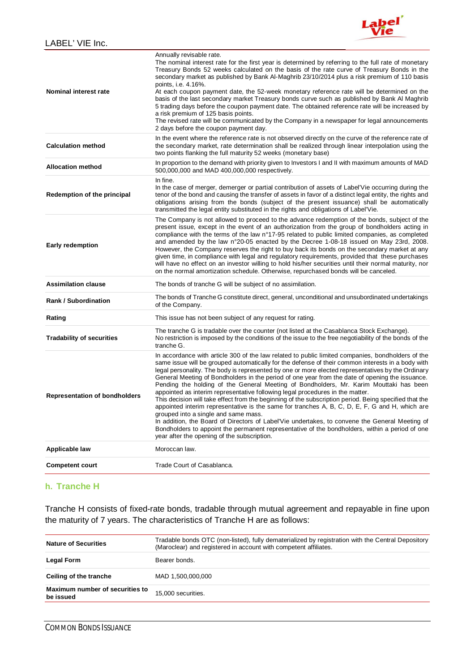

| <b>Representation of bondholders</b><br><b>Applicable law</b> | of the Company.<br>This issue has not been subject of any request for rating.<br>The tranche G is tradable over the counter (not listed at the Casablanca Stock Exchange).<br>No restriction is imposed by the conditions of the issue to the free negotiability of the bonds of the<br>tranche G.<br>In accordance with article 300 of the law related to public limited companies, bondholders of the<br>same issue will be grouped automatically for the defense of their common interests in a body with<br>legal personality. The body is represented by one or more elected representatives by the Ordinary<br>General Meeting of Bondholders in the period of one year from the date of opening the issuance.<br>Pending the holding of the General Meeting of Bondholders, Mr. Karim Mouttaki has been<br>appointed as interim representative following legal procedures in the matter.<br>This decision will take effect from the beginning of the subscription period. Being specified that the<br>appointed interim representative is the same for tranches A, B, C, D, E, F, G and H, which are<br>grouped into a single and same mass.<br>In addition, the Board of Directors of Label'Vie undertakes, to convene the General Meeting of<br>Bondholders to appoint the permanent representative of the bondholders, within a period of one<br>year after the opening of the subscription.<br>Moroccan law. |
|---------------------------------------------------------------|-------------------------------------------------------------------------------------------------------------------------------------------------------------------------------------------------------------------------------------------------------------------------------------------------------------------------------------------------------------------------------------------------------------------------------------------------------------------------------------------------------------------------------------------------------------------------------------------------------------------------------------------------------------------------------------------------------------------------------------------------------------------------------------------------------------------------------------------------------------------------------------------------------------------------------------------------------------------------------------------------------------------------------------------------------------------------------------------------------------------------------------------------------------------------------------------------------------------------------------------------------------------------------------------------------------------------------------------------------------------------------------------------------------------------|
|                                                               |                                                                                                                                                                                                                                                                                                                                                                                                                                                                                                                                                                                                                                                                                                                                                                                                                                                                                                                                                                                                                                                                                                                                                                                                                                                                                                                                                                                                                         |
|                                                               |                                                                                                                                                                                                                                                                                                                                                                                                                                                                                                                                                                                                                                                                                                                                                                                                                                                                                                                                                                                                                                                                                                                                                                                                                                                                                                                                                                                                                         |
| <b>Tradability of securities</b>                              |                                                                                                                                                                                                                                                                                                                                                                                                                                                                                                                                                                                                                                                                                                                                                                                                                                                                                                                                                                                                                                                                                                                                                                                                                                                                                                                                                                                                                         |
| Rating                                                        |                                                                                                                                                                                                                                                                                                                                                                                                                                                                                                                                                                                                                                                                                                                                                                                                                                                                                                                                                                                                                                                                                                                                                                                                                                                                                                                                                                                                                         |
| <b>Rank / Subordination</b>                                   | The bonds of Tranche G constitute direct, general, unconditional and unsubordinated undertakings                                                                                                                                                                                                                                                                                                                                                                                                                                                                                                                                                                                                                                                                                                                                                                                                                                                                                                                                                                                                                                                                                                                                                                                                                                                                                                                        |
| <b>Assimilation clause</b>                                    | The bonds of tranche G will be subject of no assimilation.                                                                                                                                                                                                                                                                                                                                                                                                                                                                                                                                                                                                                                                                                                                                                                                                                                                                                                                                                                                                                                                                                                                                                                                                                                                                                                                                                              |
| <b>Early redemption</b>                                       | The Company is not allowed to proceed to the advance redemption of the bonds, subject of the<br>present issue, except in the event of an authorization from the group of bondholders acting in<br>compliance with the terms of the law n°17-95 related to public limited companies, as completed<br>and amended by the law n°20-05 enacted by the Decree 1-08-18 issued on May 23rd, 2008.<br>However, the Company reserves the right to buy back its bonds on the secondary market at any<br>given time, in compliance with legal and regulatory requirements, provided that these purchases<br>will have no effect on an investor willing to hold his/her securities until their normal maturity, nor<br>on the normal amortization schedule. Otherwise, repurchased bonds will be canceled.                                                                                                                                                                                                                                                                                                                                                                                                                                                                                                                                                                                                                          |
| Redemption of the principal                                   | In fine.<br>In the case of merger, demerger or partial contribution of assets of Label'Vie occurring during the<br>tenor of the bond and causing the transfer of assets in favor of a distinct legal entity, the rights and<br>obligations arising from the bonds (subject of the present issuance) shall be automatically<br>transmitted the legal entity substituted in the rights and obligations of Label'Vie.                                                                                                                                                                                                                                                                                                                                                                                                                                                                                                                                                                                                                                                                                                                                                                                                                                                                                                                                                                                                      |
| <b>Allocation method</b>                                      | In proportion to the demand with priority given to Investors I and II with maximum amounts of MAD<br>500,000,000 and MAD 400,000,000 respectively.                                                                                                                                                                                                                                                                                                                                                                                                                                                                                                                                                                                                                                                                                                                                                                                                                                                                                                                                                                                                                                                                                                                                                                                                                                                                      |
| <b>Calculation method</b>                                     | In the event where the reference rate is not observed directly on the curve of the reference rate of<br>the secondary market, rate determination shall be realized through linear interpolation using the<br>two points flanking the full maturity 52 weeks (monetary base)                                                                                                                                                                                                                                                                                                                                                                                                                                                                                                                                                                                                                                                                                                                                                                                                                                                                                                                                                                                                                                                                                                                                             |
| Nominal interest rate                                         | Annually revisable rate.<br>The nominal interest rate for the first year is determined by referring to the full rate of monetary<br>Treasury Bonds 52 weeks calculated on the basis of the rate curve of Treasury Bonds in the<br>secondary market as published by Bank Al-Maghrib 23/10/2014 plus a risk premium of 110 basis<br>points, i.e. 4.16%.<br>At each coupon payment date, the 52-week monetary reference rate will be determined on the<br>basis of the last secondary market Treasury bonds curve such as published by Bank Al Maghrib<br>5 trading days before the coupon payment date. The obtained reference rate will be increased by<br>a risk premium of 125 basis points.<br>The revised rate will be communicated by the Company in a newspaper for legal announcements<br>2 days before the coupon payment day.                                                                                                                                                                                                                                                                                                                                                                                                                                                                                                                                                                                   |

## **h. Tranche H**

Tranche H consists of fixed-rate bonds, tradable through mutual agreement and repayable in fine upon the maturity of 7 years. The characteristics of Tranche H are as follows:

| <b>Nature of Securities</b>                  | Tradable bonds OTC (non-listed), fully dematerialized by registration with the Central Depository<br>(Maroclear) and registered in account with competent affiliates. |
|----------------------------------------------|-----------------------------------------------------------------------------------------------------------------------------------------------------------------------|
| <b>Legal Form</b>                            | Bearer bonds.                                                                                                                                                         |
| Ceiling of the tranche                       | MAD 1.500.000.000                                                                                                                                                     |
| Maximum number of securities to<br>be issued | 15,000 securities.                                                                                                                                                    |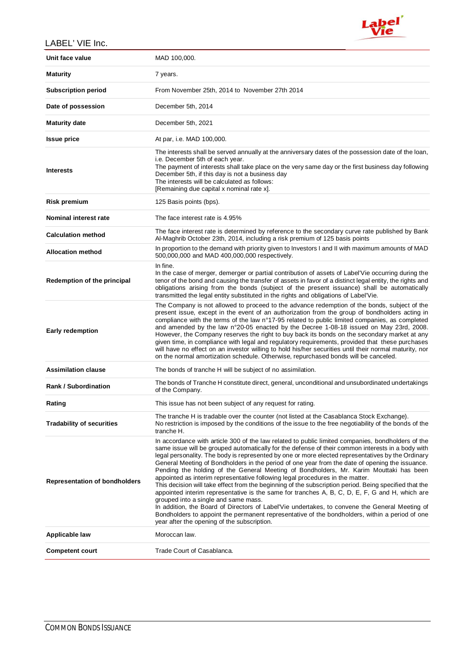

| - NULL VIL 1110.                     |                                                                                                                                                                                                                                                                                                                                                                                                                                                                                                                                                                                                                                                                                                                                                                                                                                                                                                                                                                                                                                                                                                  |
|--------------------------------------|--------------------------------------------------------------------------------------------------------------------------------------------------------------------------------------------------------------------------------------------------------------------------------------------------------------------------------------------------------------------------------------------------------------------------------------------------------------------------------------------------------------------------------------------------------------------------------------------------------------------------------------------------------------------------------------------------------------------------------------------------------------------------------------------------------------------------------------------------------------------------------------------------------------------------------------------------------------------------------------------------------------------------------------------------------------------------------------------------|
| Unit face value                      | MAD 100,000.                                                                                                                                                                                                                                                                                                                                                                                                                                                                                                                                                                                                                                                                                                                                                                                                                                                                                                                                                                                                                                                                                     |
| <b>Maturity</b>                      | 7 years.                                                                                                                                                                                                                                                                                                                                                                                                                                                                                                                                                                                                                                                                                                                                                                                                                                                                                                                                                                                                                                                                                         |
| <b>Subscription period</b>           | From November 25th, 2014 to November 27th 2014                                                                                                                                                                                                                                                                                                                                                                                                                                                                                                                                                                                                                                                                                                                                                                                                                                                                                                                                                                                                                                                   |
| Date of possession                   | December 5th, 2014                                                                                                                                                                                                                                                                                                                                                                                                                                                                                                                                                                                                                                                                                                                                                                                                                                                                                                                                                                                                                                                                               |
| <b>Maturity date</b>                 | December 5th, 2021                                                                                                                                                                                                                                                                                                                                                                                                                                                                                                                                                                                                                                                                                                                                                                                                                                                                                                                                                                                                                                                                               |
| <b>Issue price</b>                   | At par, i.e. MAD 100,000.                                                                                                                                                                                                                                                                                                                                                                                                                                                                                                                                                                                                                                                                                                                                                                                                                                                                                                                                                                                                                                                                        |
| <b>Interests</b>                     | The interests shall be served annually at the anniversary dates of the possession date of the loan,<br>i.e. December 5th of each year.<br>The payment of interests shall take place on the very same day or the first business day following<br>December 5th, if this day is not a business day<br>The interests will be calculated as follows:<br>[Remaining due capital x nominal rate x].                                                                                                                                                                                                                                                                                                                                                                                                                                                                                                                                                                                                                                                                                                     |
| <b>Risk premium</b>                  | 125 Basis points (bps).                                                                                                                                                                                                                                                                                                                                                                                                                                                                                                                                                                                                                                                                                                                                                                                                                                                                                                                                                                                                                                                                          |
| Nominal interest rate                | The face interest rate is 4.95%                                                                                                                                                                                                                                                                                                                                                                                                                                                                                                                                                                                                                                                                                                                                                                                                                                                                                                                                                                                                                                                                  |
| <b>Calculation method</b>            | The face interest rate is determined by reference to the secondary curve rate published by Bank<br>Al-Maghrib October 23th, 2014, including a risk premium of 125 basis points                                                                                                                                                                                                                                                                                                                                                                                                                                                                                                                                                                                                                                                                                                                                                                                                                                                                                                                   |
| <b>Allocation method</b>             | In proportion to the demand with priority given to Investors I and II with maximum amounts of MAD<br>500,000,000 and MAD 400,000,000 respectively.                                                                                                                                                                                                                                                                                                                                                                                                                                                                                                                                                                                                                                                                                                                                                                                                                                                                                                                                               |
| Redemption of the principal          | In fine.<br>In the case of merger, demerger or partial contribution of assets of Label'Vie occurring during the<br>tenor of the bond and causing the transfer of assets in favor of a distinct legal entity, the rights and<br>obligations arising from the bonds (subject of the present issuance) shall be automatically<br>transmitted the legal entity substituted in the rights and obligations of Label'Vie.                                                                                                                                                                                                                                                                                                                                                                                                                                                                                                                                                                                                                                                                               |
| <b>Early redemption</b>              | The Company is not allowed to proceed to the advance redemption of the bonds, subject of the<br>present issue, except in the event of an authorization from the group of bondholders acting in<br>compliance with the terms of the law n°17-95 related to public limited companies, as completed<br>and amended by the law n°20-05 enacted by the Decree 1-08-18 issued on May 23rd, 2008.<br>However, the Company reserves the right to buy back its bonds on the secondary market at any<br>given time, in compliance with legal and regulatory requirements, provided that these purchases<br>will have no effect on an investor willing to hold his/her securities until their normal maturity, nor<br>on the normal amortization schedule. Otherwise, repurchased bonds will be canceled.                                                                                                                                                                                                                                                                                                   |
| <b>Assimilation clause</b>           | The bonds of tranche H will be subject of no assimilation.                                                                                                                                                                                                                                                                                                                                                                                                                                                                                                                                                                                                                                                                                                                                                                                                                                                                                                                                                                                                                                       |
| <b>Rank / Subordination</b>          | The bonds of Tranche H constitute direct, general, unconditional and unsubordinated undertakings<br>of the Company.                                                                                                                                                                                                                                                                                                                                                                                                                                                                                                                                                                                                                                                                                                                                                                                                                                                                                                                                                                              |
| Rating                               | This issue has not been subject of any request for rating.                                                                                                                                                                                                                                                                                                                                                                                                                                                                                                                                                                                                                                                                                                                                                                                                                                                                                                                                                                                                                                       |
| <b>Tradability of securities</b>     | The tranche H is tradable over the counter (not listed at the Casablanca Stock Exchange).<br>No restriction is imposed by the conditions of the issue to the free negotiability of the bonds of the<br>tranche H.                                                                                                                                                                                                                                                                                                                                                                                                                                                                                                                                                                                                                                                                                                                                                                                                                                                                                |
| <b>Representation of bondholders</b> | In accordance with article 300 of the law related to public limited companies, bondholders of the<br>same issue will be grouped automatically for the defense of their common interests in a body with<br>legal personality. The body is represented by one or more elected representatives by the Ordinary<br>General Meeting of Bondholders in the period of one year from the date of opening the issuance.<br>Pending the holding of the General Meeting of Bondholders, Mr. Karim Mouttaki has been<br>appointed as interim representative following legal procedures in the matter.<br>This decision will take effect from the beginning of the subscription period. Being specified that the<br>appointed interim representative is the same for tranches A, B, C, D, E, F, G and H, which are<br>grouped into a single and same mass.<br>In addition, the Board of Directors of Label'Vie undertakes, to convene the General Meeting of<br>Bondholders to appoint the permanent representative of the bondholders, within a period of one<br>year after the opening of the subscription. |
| Applicable law                       | Moroccan law.                                                                                                                                                                                                                                                                                                                                                                                                                                                                                                                                                                                                                                                                                                                                                                                                                                                                                                                                                                                                                                                                                    |
| <b>Competent court</b>               | Trade Court of Casablanca.                                                                                                                                                                                                                                                                                                                                                                                                                                                                                                                                                                                                                                                                                                                                                                                                                                                                                                                                                                                                                                                                       |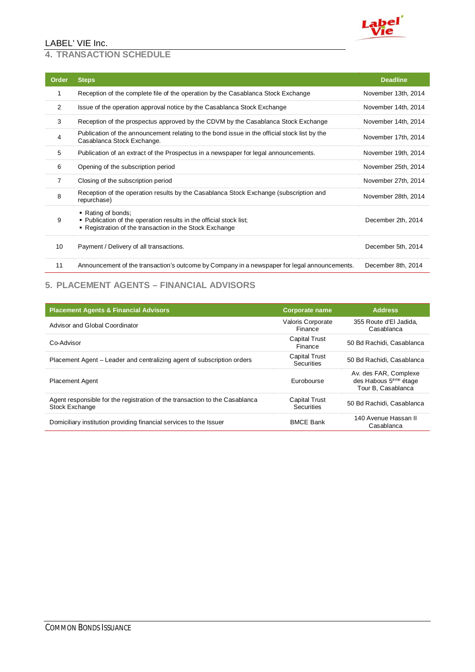

#### **4. TRANSACTION SCHEDULE**

| Order          | <b>Steps</b>                                                                                                                                        | <b>Deadline</b>     |
|----------------|-----------------------------------------------------------------------------------------------------------------------------------------------------|---------------------|
| 1              | Reception of the complete file of the operation by the Casablanca Stock Exchange                                                                    | November 13th, 2014 |
| 2              | Issue of the operation approval notice by the Casablanca Stock Exchange                                                                             | November 14th, 2014 |
| 3              | Reception of the prospectus approved by the CDVM by the Casablanca Stock Exchange                                                                   | November 14th, 2014 |
| 4              | Publication of the announcement relating to the bond issue in the official stock list by the<br>Casablanca Stock Exchange.                          | November 17th, 2014 |
| 5              | Publication of an extract of the Prospectus in a newspaper for legal announcements.                                                                 | November 19th, 2014 |
| 6              | Opening of the subscription period                                                                                                                  | November 25th, 2014 |
| $\overline{7}$ | Closing of the subscription period                                                                                                                  | November 27th, 2014 |
| 8              | Reception of the operation results by the Casablanca Stock Exchange (subscription and<br>repurchase)                                                | November 28th, 2014 |
| 9              | • Rating of bonds;<br>. Publication of the operation results in the official stock list;<br>" Registration of the transaction in the Stock Exchange | December 2th, 2014  |
| 10             | Payment / Delivery of all transactions.                                                                                                             | December 5th, 2014  |
| 11             | Announcement of the transaction's outcome by Company in a newspaper for legal announcements.                                                        | December 8th, 2014  |

## **5. PLACEMENT AGENTS – FINANCIAL ADVISORS**

| <b>Placement Agents &amp; Financial Advisors</b>                                              | <b>Corporate name</b>                     | <b>Address</b>                                                                   |
|-----------------------------------------------------------------------------------------------|-------------------------------------------|----------------------------------------------------------------------------------|
| Advisor and Global Coordinator                                                                | <b>Valoris Corporate</b><br>Finance       | 355 Route d'El Jadida.<br>Casablanca                                             |
| Co-Advisor                                                                                    | <b>Capital Trust</b><br>Finance           | 50 Bd Rachidi, Casablanca                                                        |
| Placement Agent – Leader and centralizing agent of subscription orders                        | <b>Capital Trust</b><br><b>Securities</b> | 50 Bd Rachidi, Casablanca                                                        |
| <b>Placement Agent</b>                                                                        | Eurobourse                                | Av. des FAR, Complexe<br>des Habous 5 <sup>ème</sup> étage<br>Tour B, Casablanca |
| Agent responsible for the registration of the transaction to the Casablanca<br>Stock Exchange | <b>Capital Trust</b><br>Securities        | 50 Bd Rachidi, Casablanca                                                        |
| Domiciliary institution providing financial services to the Issuer                            | <b>BMCE Bank</b>                          | 140 Avenue Hassan II<br>Casablanca                                               |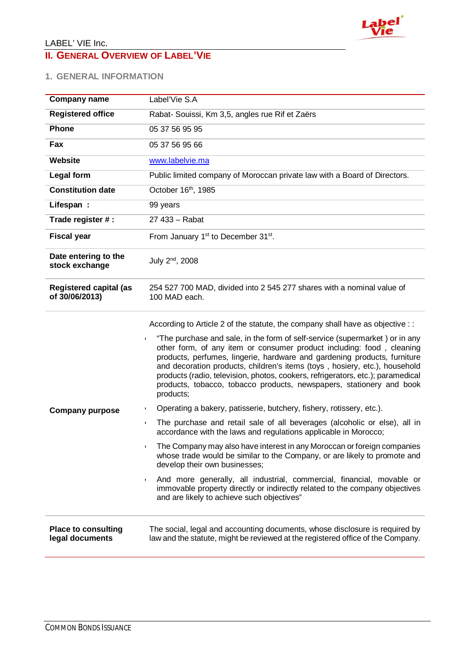

# **II. GENERAL OVERVIEW OF LABEL'VIE**

## **1. GENERAL INFORMATION**

| <b>Company name</b>                             | Label'Vie S.A                                                                                                                                                                                                                                                                                                                                                                                                                                                                                                                                                                                                                                                                                                                                                                                                                                                                                                                                                                                                                                                                                                                                                                                                                       |
|-------------------------------------------------|-------------------------------------------------------------------------------------------------------------------------------------------------------------------------------------------------------------------------------------------------------------------------------------------------------------------------------------------------------------------------------------------------------------------------------------------------------------------------------------------------------------------------------------------------------------------------------------------------------------------------------------------------------------------------------------------------------------------------------------------------------------------------------------------------------------------------------------------------------------------------------------------------------------------------------------------------------------------------------------------------------------------------------------------------------------------------------------------------------------------------------------------------------------------------------------------------------------------------------------|
| <b>Registered office</b>                        | Rabat- Souissi, Km 3,5, angles rue Rif et Zaërs                                                                                                                                                                                                                                                                                                                                                                                                                                                                                                                                                                                                                                                                                                                                                                                                                                                                                                                                                                                                                                                                                                                                                                                     |
| <b>Phone</b>                                    | 05 37 56 95 95                                                                                                                                                                                                                                                                                                                                                                                                                                                                                                                                                                                                                                                                                                                                                                                                                                                                                                                                                                                                                                                                                                                                                                                                                      |
| Fax                                             | 05 37 56 95 66                                                                                                                                                                                                                                                                                                                                                                                                                                                                                                                                                                                                                                                                                                                                                                                                                                                                                                                                                                                                                                                                                                                                                                                                                      |
| Website                                         | www.labelvie.ma                                                                                                                                                                                                                                                                                                                                                                                                                                                                                                                                                                                                                                                                                                                                                                                                                                                                                                                                                                                                                                                                                                                                                                                                                     |
| <b>Legal form</b>                               | Public limited company of Moroccan private law with a Board of Directors.                                                                                                                                                                                                                                                                                                                                                                                                                                                                                                                                                                                                                                                                                                                                                                                                                                                                                                                                                                                                                                                                                                                                                           |
| <b>Constitution date</b>                        | October 16th, 1985                                                                                                                                                                                                                                                                                                                                                                                                                                                                                                                                                                                                                                                                                                                                                                                                                                                                                                                                                                                                                                                                                                                                                                                                                  |
| Lifespan:                                       | 99 years                                                                                                                                                                                                                                                                                                                                                                                                                                                                                                                                                                                                                                                                                                                                                                                                                                                                                                                                                                                                                                                                                                                                                                                                                            |
| Trade register #:                               | 27 433 - Rabat                                                                                                                                                                                                                                                                                                                                                                                                                                                                                                                                                                                                                                                                                                                                                                                                                                                                                                                                                                                                                                                                                                                                                                                                                      |
| <b>Fiscal year</b>                              | From January 1 <sup>st</sup> to December 31 <sup>st</sup> .                                                                                                                                                                                                                                                                                                                                                                                                                                                                                                                                                                                                                                                                                                                                                                                                                                                                                                                                                                                                                                                                                                                                                                         |
| Date entering to the<br>stock exchange          | July 2 <sup>nd</sup> , 2008                                                                                                                                                                                                                                                                                                                                                                                                                                                                                                                                                                                                                                                                                                                                                                                                                                                                                                                                                                                                                                                                                                                                                                                                         |
| <b>Registered capital (as</b><br>of 30/06/2013) | 254 527 700 MAD, divided into 2 545 277 shares with a nominal value of<br>100 MAD each.                                                                                                                                                                                                                                                                                                                                                                                                                                                                                                                                                                                                                                                                                                                                                                                                                                                                                                                                                                                                                                                                                                                                             |
| <b>Company purpose</b>                          | According to Article 2 of the statute, the company shall have as objective : :<br>"The purchase and sale, in the form of self-service (supermarket) or in any<br>other form, of any item or consumer product including: food, cleaning<br>products, perfumes, lingerie, hardware and gardening products, furniture<br>and decoration products, children's items (toys, hosiery, etc.), household<br>products (radio, television, photos, cookers, refrigerators, etc.); paramedical<br>products, tobacco, tobacco products, newspapers, stationery and book<br>products;<br>Operating a bakery, patisserie, butchery, fishery, rotissery, etc.).<br>١.<br>The purchase and retail sale of all beverages (alcoholic or else), all in<br>$\blacktriangleright$<br>accordance with the laws and regulations applicable in Morocco;<br>The Company may also have interest in any Moroccan or foreign companies<br>whose trade would be similar to the Company, or are likely to promote and<br>develop their own businesses;<br>And more generally, all industrial, commercial, financial, movable or<br>,<br>immovable property directly or indirectly related to the company objectives<br>and are likely to achieve such objectives" |
| <b>Place to consulting</b><br>legal documents   | The social, legal and accounting documents, whose disclosure is required by<br>law and the statute, might be reviewed at the registered office of the Company.                                                                                                                                                                                                                                                                                                                                                                                                                                                                                                                                                                                                                                                                                                                                                                                                                                                                                                                                                                                                                                                                      |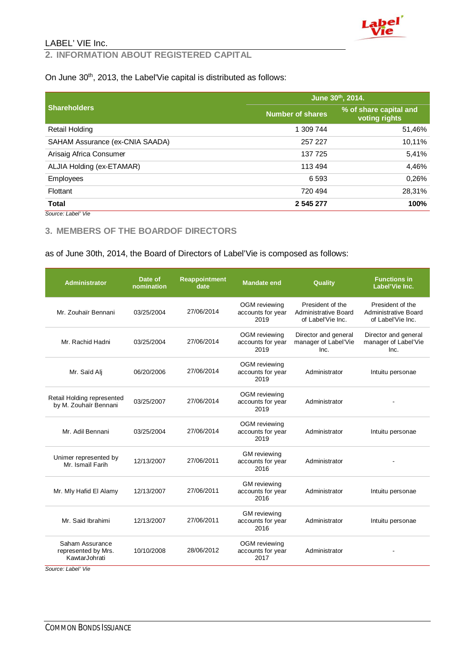

### **2. INFORMATION ABOUT REGISTERED CAPITAL**

#### On June 30<sup>th</sup>, 2013, the Label'Vie capital is distributed as follows:

|                                 |                         | June 30th, 2014.                        |
|---------------------------------|-------------------------|-----------------------------------------|
| <b>Shareholders</b>             | <b>Number of shares</b> | % of share capital and<br>voting rights |
| Retail Holding                  | 1 309 744               | 51,46%                                  |
| SAHAM Assurance (ex-CNIA SAADA) | 257 227                 | 10,11%                                  |
| Arisaig Africa Consumer         | 137 725                 | 5,41%                                   |
| ALJIA Holding (ex-ETAMAR)       | 113 494                 | 4,46%                                   |
| <b>Employees</b>                | 6 5 9 3                 | 0,26%                                   |
| Flottant                        | 720 494                 | 28,31%                                  |
| <b>Total</b>                    | 2 545 277               | 100%                                    |
| Source: Label' Vie              |                         |                                         |

#### **3. MEMBERS OF THE BOARDOF DIRECTORS**

#### as of June 30th, 2014, the Board of Directors of Label'Vie is composed as follows:

| <b>Administrator</b>                                    | Date of<br>nomination | <b>Reappointment</b><br>date | <b>Mandate end</b>                               | Quality                                                              | <b>Functions in</b><br>Label'Vie Inc.                                |
|---------------------------------------------------------|-----------------------|------------------------------|--------------------------------------------------|----------------------------------------------------------------------|----------------------------------------------------------------------|
| Mr. Zouhaïr Bennani                                     | 03/25/2004            | 27/06/2014                   | OGM reviewing<br>accounts for year<br>2019       | President of the<br><b>Administrative Board</b><br>of Label'Vie Inc. | President of the<br><b>Administrative Board</b><br>of Label'Vie Inc. |
| Mr. Rachid Hadni                                        | 03/25/2004            | 27/06/2014                   | OGM reviewing<br>accounts for year<br>2019       | Director and general<br>manager of Label'Vie<br>Inc.                 | Director and general<br>manager of Label'Vie<br>Inc.                 |
| Mr. Saïd Ali                                            | 06/20/2006            | 27/06/2014                   | OGM reviewing<br>accounts for year<br>2019       | Administrator                                                        | Intuitu personae                                                     |
| Retail Holding represented<br>by M. Zouhaïr Bennani     | 03/25/2007            | 27/06/2014                   | OGM reviewing<br>accounts for year<br>2019       | Administrator                                                        |                                                                      |
| Mr. Adil Bennani                                        | 03/25/2004            | 27/06/2014                   | OGM reviewing<br>accounts for year<br>2019       | Administrator                                                        | Intuitu personae                                                     |
| Unimer represented by<br>Mr. Ismaïl Farih               | 12/13/2007            | 27/06/2011                   | <b>GM</b> reviewing<br>accounts for year<br>2016 | Administrator                                                        |                                                                      |
| Mr. Mly Hafid El Alamy                                  | 12/13/2007            | 27/06/2011                   | <b>GM</b> reviewing<br>accounts for year<br>2016 | Administrator                                                        | Intuitu personae                                                     |
| Mr. Said Ibrahimi                                       | 12/13/2007            | 27/06/2011                   | <b>GM</b> reviewing<br>accounts for year<br>2016 | Administrator                                                        | Intuitu personae                                                     |
| Saham Assurance<br>represented by Mrs.<br>KawtarJohrati | 10/10/2008            | 28/06/2012                   | OGM reviewing<br>accounts for year<br>2017       | Administrator                                                        |                                                                      |

*Source: Label' Vie*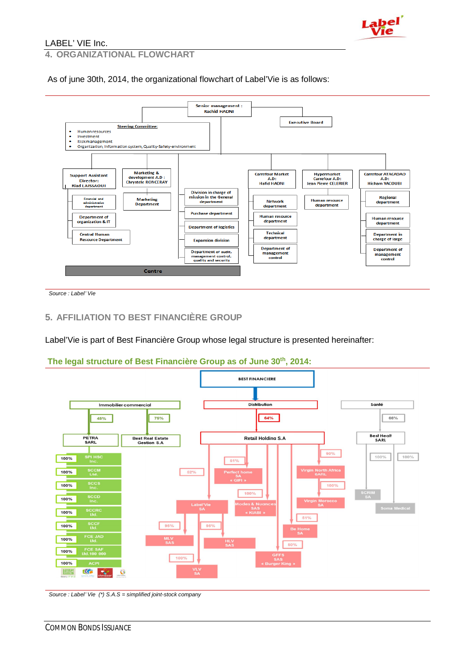

**4. ORGANIZATIONAL FLOWCHART** 

As of june 30th, 2014, the organizational flowchart of Label'Vie is as follows:



*Source : Label' Vie*

#### **5. AFFILIATION TO BEST FINANCIÈRE GROUP**

Label'Vie is part of Best Financière Group whose legal structure is presented hereinafter:

#### **The legal structure of Best Financière Group as of June 30th, 2014:**



*Source : Label' Vie (\*) S.A.S = simplified joint-stock company*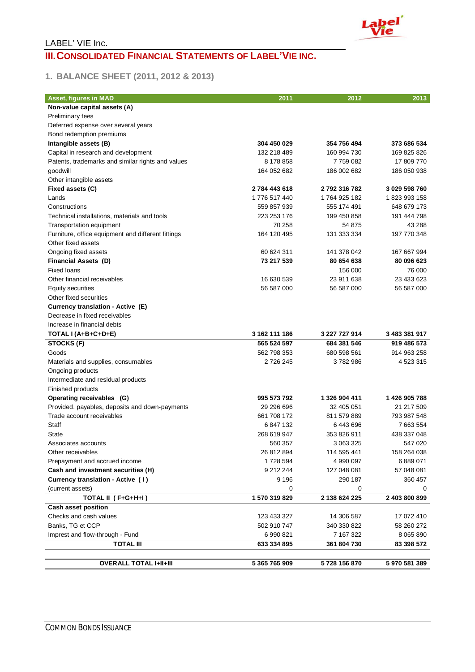

## LABEL' VIE Inc. **III. CONSOLIDATED FINANCIAL STATEMENTS OF LABEL'VIE INC.**

## **1. BALANCE SHEET (2011, 2012 & 2013)**

| Asset, figures in MAD<br>Non-value capital assets (A)<br>Preliminary fees<br>Deferred expense over several years<br>Bond redemption premiums<br>Intangible assets (B)<br>304 450 029<br>354 756 494<br>373 686 534<br>132 218 489<br>169 825 826<br>Capital in research and development<br>160 994 730<br>Patents, trademarks and similar rights and values<br>8 178 858<br>7759082<br>17 809 770<br>186 002 682<br>186 050 938<br>goodwill<br>164 052 682<br>Other intangible assets<br>3 029 598 760<br>Fixed assets (C)<br>2784 443 618<br>2792316782<br>1776 517 440<br>1823993158<br>Lands<br>1764 925 182<br>Constructions<br>559 857 939<br>555 174 491<br>648 679 173<br>223 253 176<br>Technical installations, materials and tools<br>199 450 858<br>191 444 798<br>Transportation equipment<br>70 258<br>54 875<br>43 288<br>164 120 495<br>131 333 334<br>197 770 348<br>Furniture, office equipment and different fittings<br>Other fixed assets<br>60 624 311<br>141 378 042<br>Ongoing fixed assets<br>167 667 994<br>73 217 539<br>80 654 638<br>80 096 623<br><b>Financial Assets (D)</b><br><b>Fixed loans</b><br>76 000<br>156 000<br>23 911 638<br>23 433 623<br>Other financial receivables<br>16 630 539<br>56 587 000<br>Equity securities<br>56 587 000<br>56 587 000<br>Other fixed securities<br>Currency translation - Active (E)<br>Decrease in fixed receivables<br>Increase in financial debts<br>3 162 111 186<br>3 227 727 914<br>3 483 381 917<br>TOTAL I (A+B+C+D+E)<br>STOCKS (F)<br>565 524 597<br>684 381 546<br>919 486 573<br>562 798 353<br>914 963 258<br>Goods<br>680 598 561<br>2 7 2 6 2 4 5<br>3782986<br>4 5 23 3 15<br>Materials and supplies, consumables |
|-----------------------------------------------------------------------------------------------------------------------------------------------------------------------------------------------------------------------------------------------------------------------------------------------------------------------------------------------------------------------------------------------------------------------------------------------------------------------------------------------------------------------------------------------------------------------------------------------------------------------------------------------------------------------------------------------------------------------------------------------------------------------------------------------------------------------------------------------------------------------------------------------------------------------------------------------------------------------------------------------------------------------------------------------------------------------------------------------------------------------------------------------------------------------------------------------------------------------------------------------------------------------------------------------------------------------------------------------------------------------------------------------------------------------------------------------------------------------------------------------------------------------------------------------------------------------------------------------------------------------------------------------------------------------------------------------------------|
|                                                                                                                                                                                                                                                                                                                                                                                                                                                                                                                                                                                                                                                                                                                                                                                                                                                                                                                                                                                                                                                                                                                                                                                                                                                                                                                                                                                                                                                                                                                                                                                                                                                                                                           |
|                                                                                                                                                                                                                                                                                                                                                                                                                                                                                                                                                                                                                                                                                                                                                                                                                                                                                                                                                                                                                                                                                                                                                                                                                                                                                                                                                                                                                                                                                                                                                                                                                                                                                                           |
|                                                                                                                                                                                                                                                                                                                                                                                                                                                                                                                                                                                                                                                                                                                                                                                                                                                                                                                                                                                                                                                                                                                                                                                                                                                                                                                                                                                                                                                                                                                                                                                                                                                                                                           |
|                                                                                                                                                                                                                                                                                                                                                                                                                                                                                                                                                                                                                                                                                                                                                                                                                                                                                                                                                                                                                                                                                                                                                                                                                                                                                                                                                                                                                                                                                                                                                                                                                                                                                                           |
|                                                                                                                                                                                                                                                                                                                                                                                                                                                                                                                                                                                                                                                                                                                                                                                                                                                                                                                                                                                                                                                                                                                                                                                                                                                                                                                                                                                                                                                                                                                                                                                                                                                                                                           |
|                                                                                                                                                                                                                                                                                                                                                                                                                                                                                                                                                                                                                                                                                                                                                                                                                                                                                                                                                                                                                                                                                                                                                                                                                                                                                                                                                                                                                                                                                                                                                                                                                                                                                                           |
|                                                                                                                                                                                                                                                                                                                                                                                                                                                                                                                                                                                                                                                                                                                                                                                                                                                                                                                                                                                                                                                                                                                                                                                                                                                                                                                                                                                                                                                                                                                                                                                                                                                                                                           |
|                                                                                                                                                                                                                                                                                                                                                                                                                                                                                                                                                                                                                                                                                                                                                                                                                                                                                                                                                                                                                                                                                                                                                                                                                                                                                                                                                                                                                                                                                                                                                                                                                                                                                                           |
|                                                                                                                                                                                                                                                                                                                                                                                                                                                                                                                                                                                                                                                                                                                                                                                                                                                                                                                                                                                                                                                                                                                                                                                                                                                                                                                                                                                                                                                                                                                                                                                                                                                                                                           |
|                                                                                                                                                                                                                                                                                                                                                                                                                                                                                                                                                                                                                                                                                                                                                                                                                                                                                                                                                                                                                                                                                                                                                                                                                                                                                                                                                                                                                                                                                                                                                                                                                                                                                                           |
|                                                                                                                                                                                                                                                                                                                                                                                                                                                                                                                                                                                                                                                                                                                                                                                                                                                                                                                                                                                                                                                                                                                                                                                                                                                                                                                                                                                                                                                                                                                                                                                                                                                                                                           |
|                                                                                                                                                                                                                                                                                                                                                                                                                                                                                                                                                                                                                                                                                                                                                                                                                                                                                                                                                                                                                                                                                                                                                                                                                                                                                                                                                                                                                                                                                                                                                                                                                                                                                                           |
|                                                                                                                                                                                                                                                                                                                                                                                                                                                                                                                                                                                                                                                                                                                                                                                                                                                                                                                                                                                                                                                                                                                                                                                                                                                                                                                                                                                                                                                                                                                                                                                                                                                                                                           |
|                                                                                                                                                                                                                                                                                                                                                                                                                                                                                                                                                                                                                                                                                                                                                                                                                                                                                                                                                                                                                                                                                                                                                                                                                                                                                                                                                                                                                                                                                                                                                                                                                                                                                                           |
|                                                                                                                                                                                                                                                                                                                                                                                                                                                                                                                                                                                                                                                                                                                                                                                                                                                                                                                                                                                                                                                                                                                                                                                                                                                                                                                                                                                                                                                                                                                                                                                                                                                                                                           |
|                                                                                                                                                                                                                                                                                                                                                                                                                                                                                                                                                                                                                                                                                                                                                                                                                                                                                                                                                                                                                                                                                                                                                                                                                                                                                                                                                                                                                                                                                                                                                                                                                                                                                                           |
|                                                                                                                                                                                                                                                                                                                                                                                                                                                                                                                                                                                                                                                                                                                                                                                                                                                                                                                                                                                                                                                                                                                                                                                                                                                                                                                                                                                                                                                                                                                                                                                                                                                                                                           |
|                                                                                                                                                                                                                                                                                                                                                                                                                                                                                                                                                                                                                                                                                                                                                                                                                                                                                                                                                                                                                                                                                                                                                                                                                                                                                                                                                                                                                                                                                                                                                                                                                                                                                                           |
|                                                                                                                                                                                                                                                                                                                                                                                                                                                                                                                                                                                                                                                                                                                                                                                                                                                                                                                                                                                                                                                                                                                                                                                                                                                                                                                                                                                                                                                                                                                                                                                                                                                                                                           |
|                                                                                                                                                                                                                                                                                                                                                                                                                                                                                                                                                                                                                                                                                                                                                                                                                                                                                                                                                                                                                                                                                                                                                                                                                                                                                                                                                                                                                                                                                                                                                                                                                                                                                                           |
|                                                                                                                                                                                                                                                                                                                                                                                                                                                                                                                                                                                                                                                                                                                                                                                                                                                                                                                                                                                                                                                                                                                                                                                                                                                                                                                                                                                                                                                                                                                                                                                                                                                                                                           |
|                                                                                                                                                                                                                                                                                                                                                                                                                                                                                                                                                                                                                                                                                                                                                                                                                                                                                                                                                                                                                                                                                                                                                                                                                                                                                                                                                                                                                                                                                                                                                                                                                                                                                                           |
|                                                                                                                                                                                                                                                                                                                                                                                                                                                                                                                                                                                                                                                                                                                                                                                                                                                                                                                                                                                                                                                                                                                                                                                                                                                                                                                                                                                                                                                                                                                                                                                                                                                                                                           |
|                                                                                                                                                                                                                                                                                                                                                                                                                                                                                                                                                                                                                                                                                                                                                                                                                                                                                                                                                                                                                                                                                                                                                                                                                                                                                                                                                                                                                                                                                                                                                                                                                                                                                                           |
|                                                                                                                                                                                                                                                                                                                                                                                                                                                                                                                                                                                                                                                                                                                                                                                                                                                                                                                                                                                                                                                                                                                                                                                                                                                                                                                                                                                                                                                                                                                                                                                                                                                                                                           |
|                                                                                                                                                                                                                                                                                                                                                                                                                                                                                                                                                                                                                                                                                                                                                                                                                                                                                                                                                                                                                                                                                                                                                                                                                                                                                                                                                                                                                                                                                                                                                                                                                                                                                                           |
|                                                                                                                                                                                                                                                                                                                                                                                                                                                                                                                                                                                                                                                                                                                                                                                                                                                                                                                                                                                                                                                                                                                                                                                                                                                                                                                                                                                                                                                                                                                                                                                                                                                                                                           |
|                                                                                                                                                                                                                                                                                                                                                                                                                                                                                                                                                                                                                                                                                                                                                                                                                                                                                                                                                                                                                                                                                                                                                                                                                                                                                                                                                                                                                                                                                                                                                                                                                                                                                                           |
|                                                                                                                                                                                                                                                                                                                                                                                                                                                                                                                                                                                                                                                                                                                                                                                                                                                                                                                                                                                                                                                                                                                                                                                                                                                                                                                                                                                                                                                                                                                                                                                                                                                                                                           |
| Ongoing products                                                                                                                                                                                                                                                                                                                                                                                                                                                                                                                                                                                                                                                                                                                                                                                                                                                                                                                                                                                                                                                                                                                                                                                                                                                                                                                                                                                                                                                                                                                                                                                                                                                                                          |
| Intermediate and residual products                                                                                                                                                                                                                                                                                                                                                                                                                                                                                                                                                                                                                                                                                                                                                                                                                                                                                                                                                                                                                                                                                                                                                                                                                                                                                                                                                                                                                                                                                                                                                                                                                                                                        |
| Finished products                                                                                                                                                                                                                                                                                                                                                                                                                                                                                                                                                                                                                                                                                                                                                                                                                                                                                                                                                                                                                                                                                                                                                                                                                                                                                                                                                                                                                                                                                                                                                                                                                                                                                         |
| 995 573 792<br>1 326 904 411<br>1426 905 788<br>Operating receivables (G)                                                                                                                                                                                                                                                                                                                                                                                                                                                                                                                                                                                                                                                                                                                                                                                                                                                                                                                                                                                                                                                                                                                                                                                                                                                                                                                                                                                                                                                                                                                                                                                                                                 |
| Provided. payables, deposits and down-payments<br>29 29 69 69 6<br>32 405 051<br>21 217 509                                                                                                                                                                                                                                                                                                                                                                                                                                                                                                                                                                                                                                                                                                                                                                                                                                                                                                                                                                                                                                                                                                                                                                                                                                                                                                                                                                                                                                                                                                                                                                                                               |
| Trade account receivables<br>661 708 172<br>793 987 548<br>811 579 889                                                                                                                                                                                                                                                                                                                                                                                                                                                                                                                                                                                                                                                                                                                                                                                                                                                                                                                                                                                                                                                                                                                                                                                                                                                                                                                                                                                                                                                                                                                                                                                                                                    |
| Staff<br>6847132<br>7 663 554<br>6443696                                                                                                                                                                                                                                                                                                                                                                                                                                                                                                                                                                                                                                                                                                                                                                                                                                                                                                                                                                                                                                                                                                                                                                                                                                                                                                                                                                                                                                                                                                                                                                                                                                                                  |
| 438 337 048<br>State<br>268 619 947<br>353 826 911                                                                                                                                                                                                                                                                                                                                                                                                                                                                                                                                                                                                                                                                                                                                                                                                                                                                                                                                                                                                                                                                                                                                                                                                                                                                                                                                                                                                                                                                                                                                                                                                                                                        |
| 3 063 325<br>547 020<br>560 357<br>Associates accounts                                                                                                                                                                                                                                                                                                                                                                                                                                                                                                                                                                                                                                                                                                                                                                                                                                                                                                                                                                                                                                                                                                                                                                                                                                                                                                                                                                                                                                                                                                                                                                                                                                                    |
| 26 812 894<br>114 595 441<br>158 264 038<br>Other receivables                                                                                                                                                                                                                                                                                                                                                                                                                                                                                                                                                                                                                                                                                                                                                                                                                                                                                                                                                                                                                                                                                                                                                                                                                                                                                                                                                                                                                                                                                                                                                                                                                                             |
| 1728 594<br>4 990 097<br>6889071<br>Prepayment and accrued income                                                                                                                                                                                                                                                                                                                                                                                                                                                                                                                                                                                                                                                                                                                                                                                                                                                                                                                                                                                                                                                                                                                                                                                                                                                                                                                                                                                                                                                                                                                                                                                                                                         |
| Cash and investment securities (H)<br>9 212 244<br>127 048 081<br>57 048 081                                                                                                                                                                                                                                                                                                                                                                                                                                                                                                                                                                                                                                                                                                                                                                                                                                                                                                                                                                                                                                                                                                                                                                                                                                                                                                                                                                                                                                                                                                                                                                                                                              |
| Currency translation - Active (1)<br>9 1 9 6<br>290 187<br>360 457                                                                                                                                                                                                                                                                                                                                                                                                                                                                                                                                                                                                                                                                                                                                                                                                                                                                                                                                                                                                                                                                                                                                                                                                                                                                                                                                                                                                                                                                                                                                                                                                                                        |
| (current assets)<br>0<br>0<br>0                                                                                                                                                                                                                                                                                                                                                                                                                                                                                                                                                                                                                                                                                                                                                                                                                                                                                                                                                                                                                                                                                                                                                                                                                                                                                                                                                                                                                                                                                                                                                                                                                                                                           |
| TOTAL II (F+G+H+I)<br>1570319829<br>2 138 624 225<br>2 403 800 899                                                                                                                                                                                                                                                                                                                                                                                                                                                                                                                                                                                                                                                                                                                                                                                                                                                                                                                                                                                                                                                                                                                                                                                                                                                                                                                                                                                                                                                                                                                                                                                                                                        |
| <b>Cash asset position</b>                                                                                                                                                                                                                                                                                                                                                                                                                                                                                                                                                                                                                                                                                                                                                                                                                                                                                                                                                                                                                                                                                                                                                                                                                                                                                                                                                                                                                                                                                                                                                                                                                                                                                |
| Checks and cash values<br>123 433 327<br>14 306 587<br>17 072 410                                                                                                                                                                                                                                                                                                                                                                                                                                                                                                                                                                                                                                                                                                                                                                                                                                                                                                                                                                                                                                                                                                                                                                                                                                                                                                                                                                                                                                                                                                                                                                                                                                         |
| Banks, TG et CCP<br>340 330 822<br>502 910 747<br>58 260 272                                                                                                                                                                                                                                                                                                                                                                                                                                                                                                                                                                                                                                                                                                                                                                                                                                                                                                                                                                                                                                                                                                                                                                                                                                                                                                                                                                                                                                                                                                                                                                                                                                              |
| Imprest and flow-through - Fund<br>6990821<br>7 167 322<br>8 0 6 5 8 9 0                                                                                                                                                                                                                                                                                                                                                                                                                                                                                                                                                                                                                                                                                                                                                                                                                                                                                                                                                                                                                                                                                                                                                                                                                                                                                                                                                                                                                                                                                                                                                                                                                                  |
| <b>TOTAL III</b><br>633 334 895<br>83 398 572<br>361 804 730                                                                                                                                                                                                                                                                                                                                                                                                                                                                                                                                                                                                                                                                                                                                                                                                                                                                                                                                                                                                                                                                                                                                                                                                                                                                                                                                                                                                                                                                                                                                                                                                                                              |
|                                                                                                                                                                                                                                                                                                                                                                                                                                                                                                                                                                                                                                                                                                                                                                                                                                                                                                                                                                                                                                                                                                                                                                                                                                                                                                                                                                                                                                                                                                                                                                                                                                                                                                           |
| 5 365 765 909<br><b>OVERALL TOTAL I+II+III</b><br>5728 156 870<br>5970581389                                                                                                                                                                                                                                                                                                                                                                                                                                                                                                                                                                                                                                                                                                                                                                                                                                                                                                                                                                                                                                                                                                                                                                                                                                                                                                                                                                                                                                                                                                                                                                                                                              |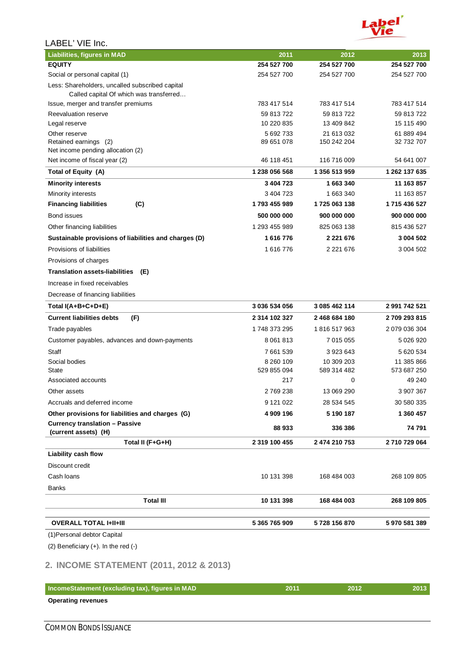

| <b>Liabilities, figures in MAD</b>                                                         | 2011          | 2012          | 2013          |
|--------------------------------------------------------------------------------------------|---------------|---------------|---------------|
| <b>EQUITY</b>                                                                              | 254 527 700   | 254 527 700   | 254 527 700   |
| Social or personal capital (1)                                                             | 254 527 700   | 254 527 700   | 254 527 700   |
| Less: Shareholders, uncalled subscribed capital<br>Called capital Of which was transferred |               |               |               |
| Issue, merger and transfer premiums                                                        | 783 417 514   | 783 417 514   | 783 417 514   |
| Reevaluation reserve                                                                       | 59 813 722    | 59 813 722    | 59 813 722    |
| Legal reserve                                                                              | 10 220 835    | 13 409 842    | 15 115 490    |
| Other reserve                                                                              | 5 692 733     | 21 613 032    | 61 889 494    |
| Retained earnings (2)<br>Net income pending allocation (2)                                 | 89 651 078    | 150 242 204   | 32 732 707    |
| Net income of fiscal year (2)                                                              | 46 118 451    | 116 716 009   | 54 641 007    |
| Total of Equity (A)                                                                        | 1 238 056 568 | 1 356 513 959 | 1 262 137 635 |
| <b>Minority interests</b>                                                                  | 3 404 723     | 1663340       | 11 163 857    |
| Minority interests                                                                         | 3 404 723     | 1 663 340     | 11 163 857    |
| <b>Financing liabilities</b><br>(C)                                                        | 1793 455 989  | 1725 063 138  | 1715 436 527  |
| Bond issues                                                                                | 500 000 000   | 900 000 000   | 900 000 000   |
| Other financing liabilities                                                                | 1 293 455 989 | 825 063 138   | 815 436 527   |
| Sustainable provisions of liabilities and charges (D)                                      | 1616776       | 2 2 2 1 6 7 6 | 3 004 502     |
| Provisions of liabilities                                                                  | 1616776       | 2 2 2 1 6 7 6 | 3 004 502     |
| Provisions of charges                                                                      |               |               |               |
| <b>Translation assets-liabilities</b><br>(E)                                               |               |               |               |
| Increase in fixed receivables                                                              |               |               |               |
| Decrease of financing liabilities                                                          |               |               |               |
| Total I(A+B+C+D+E)                                                                         | 3 036 534 056 | 3 085 462 114 | 2 991 742 521 |
| <b>Current liabilities debts</b><br>(F)                                                    | 2 314 102 327 | 2 468 684 180 | 2709 293 815  |
| Trade payables                                                                             | 1748 373 295  | 1816 517 963  | 2 079 036 304 |
| Customer payables, advances and down-payments                                              | 8 0 61 8 1 3  | 7 015 055     | 5 026 920     |
| Staff                                                                                      | 7 661 539     | 3923643       | 5 620 534     |
| Social bodies                                                                              | 8 260 109     | 10 309 203    | 11 385 866    |
| State                                                                                      | 529 855 094   | 589 314 482   | 573 687 250   |
| Associated accounts                                                                        | 217           | 0             | 49 240        |
| Other assets                                                                               | 2769238       | 13 069 290    | 3 907 367     |
| Accruals and deferred income                                                               | 9 121 022     | 28 534 545    | 30 580 335    |
| Other provisions for liabilities and charges (G)                                           | 4 909 196     | 5 190 187     | 1 360 457     |
| <b>Currency translation - Passive</b><br>(current assets) (H)                              | 88 933        | 336 386       | 74 791        |
| Total II (F+G+H)                                                                           | 2 319 100 455 | 2 474 210 753 | 2710729064    |
| Liability cash flow                                                                        |               |               |               |
| Discount credit                                                                            |               |               |               |
| Cash Ioans                                                                                 | 10 131 398    | 168 484 003   | 268 109 805   |
| Banks                                                                                      |               |               |               |
| <b>Total III</b>                                                                           | 10 131 398    | 168 484 003   | 268 109 805   |
| <b>OVERALL TOTAL I+II+III</b>                                                              | 5 365 765 909 | 5728 156 870  | 5970581389    |
| (1) Personal debtor Capital                                                                |               |               |               |
| (2) Beneficiary $(+)$ . In the red $(-)$                                                   |               |               |               |

## **2. INCOME STATEMENT (2011, 2012 & 2013)**

| IncomeStatement (excluding tax), figures in MAD | 2011 | 7012 | 2013 |
|-------------------------------------------------|------|------|------|
| <b>Operating revenues</b>                       |      |      |      |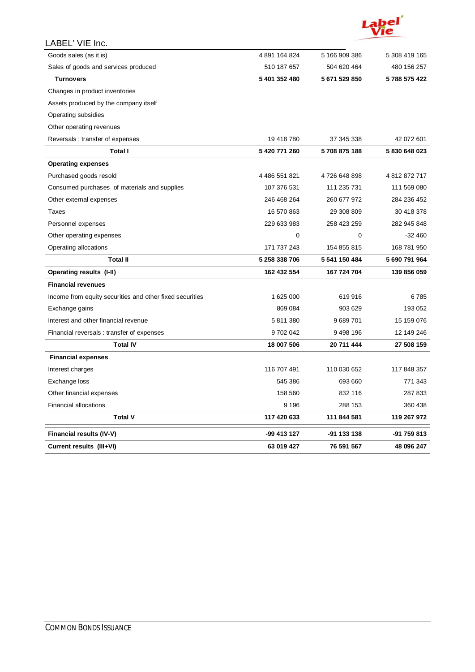

| Current results (III+VI)                                 | 63 019 427    | 76 591 567    | 48 096 247    |
|----------------------------------------------------------|---------------|---------------|---------------|
| Financial results (IV-V)                                 | -99 413 127   | -91 133 138   | -91 759 813   |
| <b>Total V</b>                                           | 117 420 633   | 111 844 581   | 119 267 972   |
| <b>Financial allocations</b>                             | 9 1 9 6       | 288 153       | 360 438       |
| Other financial expenses                                 | 158 560       | 832 116       | 287833        |
| Exchange loss                                            | 545 386       | 693 660       | 771 343       |
| Interest charges                                         | 116 707 491   | 110 030 652   | 117 848 357   |
| <b>Financial expenses</b>                                |               |               |               |
| <b>Total IV</b>                                          | 18 007 506    | 20 711 444    | 27 508 159    |
| Financial reversals: transfer of expenses                | 9702042       | 9498196       | 12 149 246    |
| Interest and other financial revenue                     | 5811380       | 9689701       | 15 159 076    |
| Exchange gains                                           | 869 084       | 903 629       | 193 052       |
| Income from equity securities and other fixed securities | 1 625 000     | 619916        | 6785          |
| <b>Financial revenues</b>                                |               |               |               |
| Operating results (I-II)                                 | 162 432 554   | 167 724 704   | 139 856 059   |
| <b>Total II</b>                                          | 5 258 338 706 | 5 541 150 484 | 5 690 791 964 |
| Operating allocations                                    | 171 737 243   | 154 855 815   | 168 781 950   |
| Other operating expenses                                 | $\mathbf 0$   | 0             | $-32460$      |
| Personnel expenses                                       | 229 633 983   | 258 423 259   | 282 945 848   |
| Taxes                                                    | 16 570 863    | 29 308 809    | 30 418 378    |
| Other external expenses                                  | 246 468 264   | 260 677 972   | 284 236 452   |
| Consumed purchases of materials and supplies             | 107 376 531   | 111 235 731   | 111 569 080   |
| Purchased goods resold                                   | 4 486 551 821 | 4726 648 898  | 4812872717    |
| <b>Operating expenses</b>                                |               |               |               |
| Total I                                                  | 5 420 771 260 | 5708875188    | 5830648023    |
| Reversals: transfer of expenses                          | 19 418 780    | 37 345 338    | 42 072 601    |
| Other operating revenues                                 |               |               |               |
| Operating subsidies                                      |               |               |               |
| Assets produced by the company itself                    |               |               |               |
| Changes in product inventories                           |               |               |               |
| <b>Turnovers</b>                                         | 5 401 352 480 | 5671529850    | 5788 575 422  |
| Sales of goods and services produced                     | 510 187 657   | 504 620 464   | 480 156 257   |
| Goods sales (as it is)                                   | 4891164824    | 5 166 909 386 | 5 308 419 165 |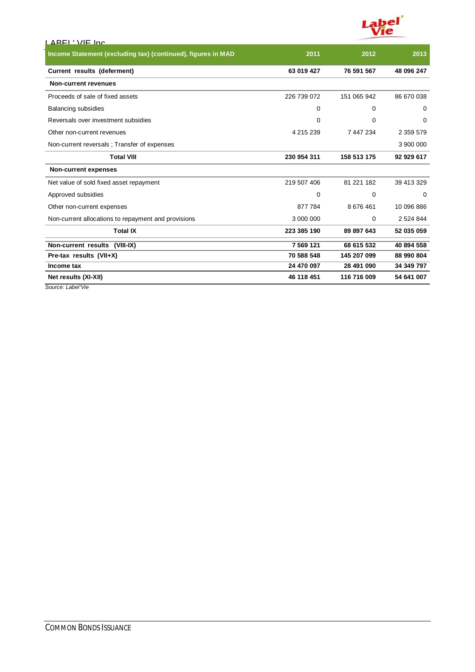

| LAREL'WE Inc                                                 |             |             |               |
|--------------------------------------------------------------|-------------|-------------|---------------|
| Income Statement (excluding tax) (continued), figures in MAD | 2011        | 2012        | 2013          |
| Current results (deferment)                                  | 63 019 427  | 76 591 567  | 48 096 247    |
| <b>Non-current revenues</b>                                  |             |             |               |
| Proceeds of sale of fixed assets                             | 226 739 072 | 151 065 942 | 86 670 038    |
| Balancing subsidies                                          | 0           | 0           | 0             |
| Reversals over investment subsidies                          | 0           | 0           | 0             |
| Other non-current revenues                                   | 4 215 239   | 7 447 234   | 2 3 5 9 5 7 9 |
| Non-current reversals; Transfer of expenses                  |             |             | 3 900 000     |
| <b>Total VIII</b>                                            | 230 954 311 | 158 513 175 | 92 929 617    |
| <b>Non-current expenses</b>                                  |             |             |               |
| Net value of sold fixed asset repayment                      | 219 507 406 | 81 221 182  | 39 413 329    |
| Approved subsidies                                           | 0           | 0           | $\Omega$      |
| Other non-current expenses                                   | 877784      | 8676461     | 10 096 886    |
| Non-current allocations to repayment and provisions          | 3 000 000   | 0           | 2 5 2 4 8 4 4 |
| <b>Total IX</b>                                              | 223 385 190 | 89 897 643  | 52 035 059    |
| Non-current results (VIII-IX)                                | 7 5 69 1 21 | 68 615 532  | 40 894 558    |
| Pre-tax results (VII+X)                                      | 70 588 548  | 145 207 099 | 88 990 804    |
| Income tax                                                   | 24 470 097  | 28 491 090  | 34 349 797    |
| Net results (XI-XII)                                         | 46 118 451  | 116 716 009 | 54 641 007    |

*Source: Label'Vie*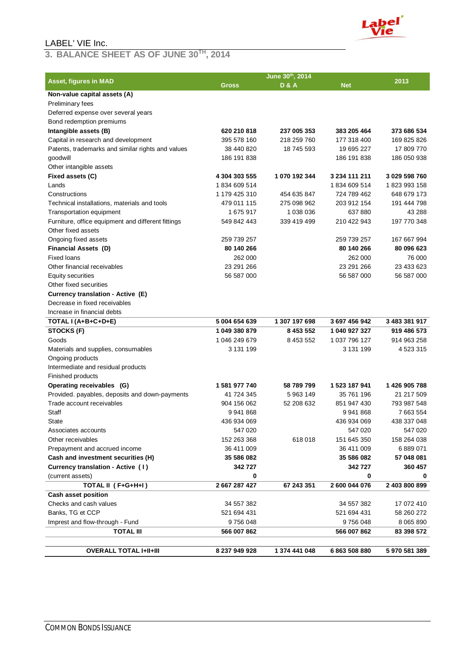#### **3. BALANCE SHEET AS OF JUNE 30TH, 2014**

|                                                    |               | June 30th, 2014 |               | 2013          |
|----------------------------------------------------|---------------|-----------------|---------------|---------------|
| <b>Asset, figures in MAD</b>                       | <b>Gross</b>  | <b>D&amp;A</b>  | <b>Net</b>    |               |
| Non-value capital assets (A)                       |               |                 |               |               |
| <b>Preliminary fees</b>                            |               |                 |               |               |
| Deferred expense over several years                |               |                 |               |               |
| Bond redemption premiums                           |               |                 |               |               |
| Intangible assets (B)                              | 620 210 818   | 237 005 353     | 383 205 464   | 373 686 534   |
| Capital in research and development                | 395 578 160   | 218 259 760     | 177 318 400   | 169 825 826   |
| Patents, trademarks and similar rights and values  | 38 440 820    | 18 745 593      | 19 695 227    | 17 809 770    |
| goodwill                                           | 186 191 838   |                 | 186 191 838   | 186 050 938   |
| Other intangible assets                            |               |                 |               |               |
| Fixed assets (C)                                   | 4 304 303 555 | 1 070 192 344   | 3 234 111 211 | 3 029 598 760 |
| Lands                                              | 1834 609 514  |                 | 1834 609 514  | 1823993158    |
| Constructions                                      | 1 179 425 310 | 454 635 847     | 724 789 462   | 648 679 173   |
| Technical installations, materials and tools       | 479 011 115   | 275 098 962     | 203 912 154   | 191 444 798   |
| Transportation equipment                           | 1675917       | 1 038 036       | 637880        | 43 288        |
| Furniture, office equipment and different fittings | 549 842 443   | 339 419 499     | 210 422 943   | 197 770 348   |
| Other fixed assets                                 |               |                 |               |               |
| Ongoing fixed assets                               | 259 739 257   |                 | 259 739 257   | 167 667 994   |
| <b>Financial Assets (D)</b>                        | 80 140 266    |                 | 80 140 266    | 80 096 623    |
| <b>Fixed loans</b>                                 | 262 000       |                 | 262 000       | 76 000        |
| Other financial receivables                        | 23 291 266    |                 | 23 291 266    | 23 433 623    |
| Equity securities                                  | 56 587 000    |                 | 56 587 000    | 56 587 000    |
| Other fixed securities                             |               |                 |               |               |
| Currency translation - Active (E)                  |               |                 |               |               |
| Decrease in fixed receivables                      |               |                 |               |               |
| Increase in financial debts                        |               |                 |               |               |
| TOTAL I (A+B+C+D+E)                                | 5 004 654 639 | 1 307 197 698   | 3 697 456 942 | 3 483 381 917 |
| STOCKS (F)                                         | 1 049 380 879 | 8 4 5 3 5 5 2   | 1 040 927 327 | 919 486 573   |
| Goods                                              | 1 046 249 679 | 8 453 552       | 1 037 796 127 | 914 963 258   |
| Materials and supplies, consumables                | 3 131 199     |                 | 3 131 199     | 4 523 315     |
| Ongoing products                                   |               |                 |               |               |
| Intermediate and residual products                 |               |                 |               |               |
| Finished products                                  |               |                 |               |               |
| Operating receivables (G)                          | 1581977740    | 58 789 799      | 1 523 187 941 | 1426 905 788  |
| Provided. payables, deposits and down-payments     | 41 724 345    | 5963149         | 35 761 196    | 21 217 509    |
| Trade account receivables                          | 904 156 062   | 52 208 632      | 851 947 430   | 793 987 548   |
| Staff                                              | 9941868       |                 | 9941868       | 7 663 554     |
| State                                              | 436 934 069   |                 | 436 934 069   | 438 337 048   |
| Associates accounts                                | 547 020       |                 | 547 020       | 547 020       |
| Other receivables                                  | 152 263 368   | 618018          | 151 645 350   | 158 264 038   |
| Prepayment and accrued income                      | 36 411 009    |                 | 36 411 009    | 6 889 071     |
| Cash and investment securities (H)                 | 35 586 082    |                 | 35 586 082    | 57 048 081    |
| Currency translation - Active (1)                  | 342727        |                 | 342727        | 360 457       |
| (current assets)                                   | 0             |                 | 0             | 0             |
| TOTAL II (F+G+H+I)                                 | 2 667 287 427 | 67 243 351      | 2 600 044 076 | 2 403 800 899 |
| Cash asset position                                |               |                 |               |               |
| Checks and cash values                             | 34 557 382    |                 | 34 557 382    | 17 072 410    |
| Banks, TG et CCP                                   | 521 694 431   |                 | 521 694 431   | 58 260 272    |
| Imprest and flow-through - Fund                    | 9756048       |                 | 9756048       | 8 0 6 5 8 9 0 |
| <b>TOTAL III</b>                                   | 566 007 862   |                 | 566 007 862   | 83 398 572    |
|                                                    |               |                 |               |               |
| <b>OVERALL TOTAL I+II+III</b>                      | 8 237 949 928 | 1 374 441 048   | 6863508880    | 5970581389    |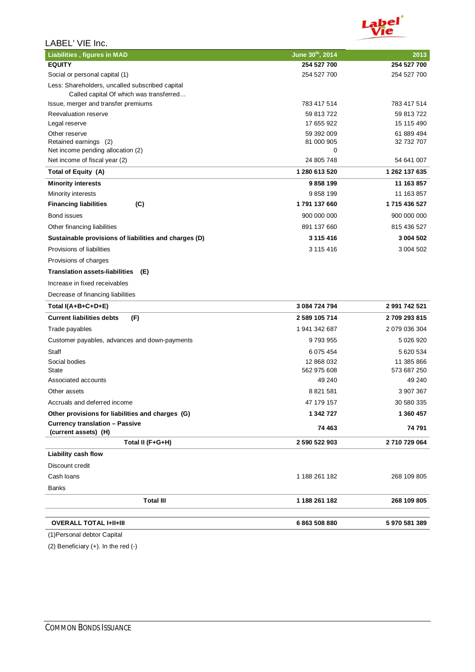

| LABEL' VIE Inc.                                                                            |                 |               |
|--------------------------------------------------------------------------------------------|-----------------|---------------|
| <b>Liabilities, figures in MAD</b>                                                         | June 30th, 2014 | 2013          |
| <b>EQUITY</b>                                                                              | 254 527 700     | 254 527 700   |
| Social or personal capital (1)                                                             | 254 527 700     | 254 527 700   |
| Less: Shareholders, uncalled subscribed capital<br>Called capital Of which was transferred |                 |               |
| Issue, merger and transfer premiums                                                        | 783 417 514     | 783 417 514   |
| Reevaluation reserve                                                                       | 59 813 722      | 59 813 722    |
| Legal reserve                                                                              | 17 655 922      | 15 115 490    |
| Other reserve                                                                              | 59 392 009      | 61 889 494    |
| Retained earnings (2)<br>Net income pending allocation (2)                                 | 81 000 905<br>0 | 32 732 707    |
| Net income of fiscal year (2)                                                              | 24 805 748      | 54 641 007    |
| Total of Equity (A)                                                                        | 1 280 613 520   | 1 262 137 635 |
| <b>Minority interests</b>                                                                  | 9858199         | 11 163 857    |
| Minority interests                                                                         | 9858199         | 11 163 857    |
| <b>Financing liabilities</b><br>(C)                                                        | 1791 137 660    | 1715 436 527  |
| Bond issues                                                                                | 900 000 000     | 900 000 000   |
| Other financing liabilities                                                                | 891 137 660     | 815 436 527   |
| Sustainable provisions of liabilities and charges (D)                                      | 3 115 416       | 3 004 502     |
| Provisions of liabilities                                                                  | 3 115 416       | 3 004 502     |
| Provisions of charges                                                                      |                 |               |
| <b>Translation assets-liabilities</b><br>(E)                                               |                 |               |
| Increase in fixed receivables                                                              |                 |               |
| Decrease of financing liabilities                                                          |                 |               |
| Total I(A+B+C+D+E)                                                                         | 3 084 724 794   | 2 991 742 521 |
| <b>Current liabilities debts</b><br>(F)                                                    | 2 589 105 714   | 2709 293 815  |
| Trade payables                                                                             | 1 941 342 687   | 2 079 036 304 |
| Customer payables, advances and down-payments                                              | 9793955         | 5 026 920     |
| Staff                                                                                      | 6 075 454       | 5 620 534     |
| Social bodies                                                                              | 12 868 032      | 11 385 866    |
| State                                                                                      | 562 975 608     | 573 687 250   |
| Associated accounts                                                                        | 49 240          | 49 240        |
| Other assets                                                                               | 8 8 21 5 81     | 3 907 367     |
| Accruals and deferred income                                                               | 47 179 157      | 30 580 335    |
| Other provisions for liabilities and charges (G)                                           | 1 342 727       | 1 360 457     |
| <b>Currency translation - Passive</b><br>(current assets) (H)                              | 74 463          | 74 791        |
| Total II (F+G+H)                                                                           | 2 590 522 903   | 2710729064    |
| Liability cash flow                                                                        |                 |               |
| Discount credit                                                                            |                 |               |
| Cash Ioans                                                                                 | 1 188 261 182   | 268 109 805   |
| Banks                                                                                      |                 |               |
| <b>Total III</b>                                                                           | 1 188 261 182   | 268 109 805   |
| <b>OVERALL TOTAL I+II+III</b>                                                              | 6863508880      | 5970581389    |

(1)Personal debtor Capital

(2) Beneficiary (+). In the red (-)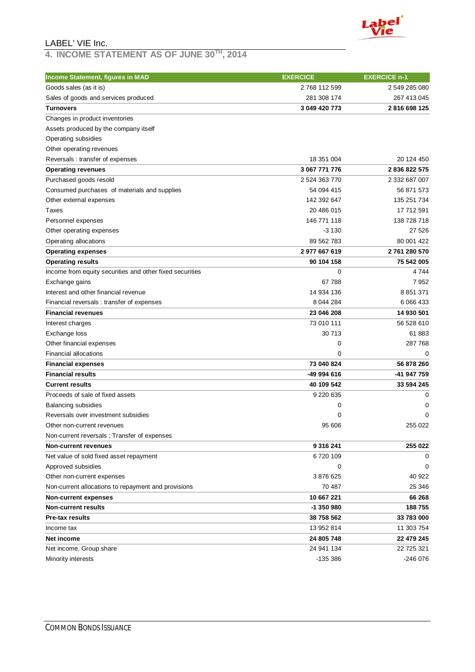

#### **4. INCOME STATEMENT AS OF JUNE 30TH, 2014**

| Income Statement, figures in MAD                         | <b>EXERCICE</b>          | <b>EXERCICE n-1</b> |
|----------------------------------------------------------|--------------------------|---------------------|
| Goods sales (as it is)                                   | 2768 112 599             | 2 549 285 080       |
| Sales of goods and services produced                     | 281 308 174              | 267 413 045         |
| <b>Turnovers</b>                                         | 3 049 420 773            | 2816698125          |
| Changes in product inventories                           |                          |                     |
| Assets produced by the company itself                    |                          |                     |
| Operating subsidies                                      |                          |                     |
| Other operating revenues                                 |                          |                     |
| Reversals: transfer of expenses                          | 18 351 004               | 20 124 450          |
| <b>Operating revenues</b>                                | 3 067 771 776            | 2836822575          |
| Purchased goods resold                                   | 2 524 363 770            | 2 332 687 007       |
| Consumed purchases of materials and supplies             | 54 094 415               | 56 871 573          |
| Other external expenses                                  | 142 392 647              | 135 251 734         |
| Taxes                                                    | 20 486 015               | 17 712 591          |
| Personnel expenses                                       | 146 771 118              | 138 728 718         |
| Other operating expenses                                 | $-3130$                  | 27 526              |
| Operating allocations                                    | 89 562 783               | 80 001 422          |
| <b>Operating expenses</b>                                | 2977667619               | 2761 280 570        |
| <b>Operating results</b>                                 | 90 104 158               | 75 542 005          |
| Income from equity securities and other fixed securities | 0                        | 4744                |
| Exchange gains                                           | 67 788                   | 7952                |
| Interest and other financial revenue                     | 14 934 136               | 8 8 5 1 3 7 1       |
| Financial reversals: transfer of expenses                | 8 044 284                | 6 0 66 4 33         |
| <b>Financial revenues</b>                                | 23 046 208               | 14 930 501          |
| Interest charges                                         | 73 010 111               | 56 528 610          |
| Exchange loss                                            | 30 713                   | 61 883              |
| Other financial expenses                                 | 0                        | 287768              |
| <b>Financial allocations</b>                             | 0                        | 0                   |
| <b>Financial expenses</b>                                | 73 040 824               | 56 878 260          |
| <b>Financial results</b>                                 | -49 994 616              | -41 947 759         |
| <b>Current results</b>                                   | 40 109 542               | 33 594 245          |
| Proceeds of sale of fixed assets                         | 9 2 2 0 6 3 5            | 0                   |
| <b>Balancing subsidies</b>                               | 0                        | 0                   |
| Reversals over investment subsidies                      | 0                        | $\Omega$            |
| Other non-current revenues                               | 95 606                   | 255 022             |
| Non-current reversals ; Transfer of expenses             |                          |                     |
| <b>Non-current revenues</b>                              | 9 316 241                | 255 022             |
| Net value of sold fixed asset repayment                  | 6720109                  | 0                   |
| Approved subsidies                                       | 0                        | 0                   |
| Other non-current expenses                               | 3876625                  | 40 922              |
| Non-current allocations to repayment and provisions      | 70 487                   | 25 346              |
| <b>Non-current expenses</b>                              | 10 667 221               | 66 268              |
| <b>Non-current results</b>                               | -1 350 980               | 188755              |
| <b>Pre-tax results</b>                                   |                          | 33 783 000          |
|                                                          | 38 758 562<br>13 952 814 |                     |
| Income tax                                               |                          | 11 303 754          |
| Net income                                               | 24 805 748               | 22 479 245          |
| Net income, Group share                                  | 24 941 134               | 22 725 321          |
| Minority interests                                       | -135 386                 | $-246076$           |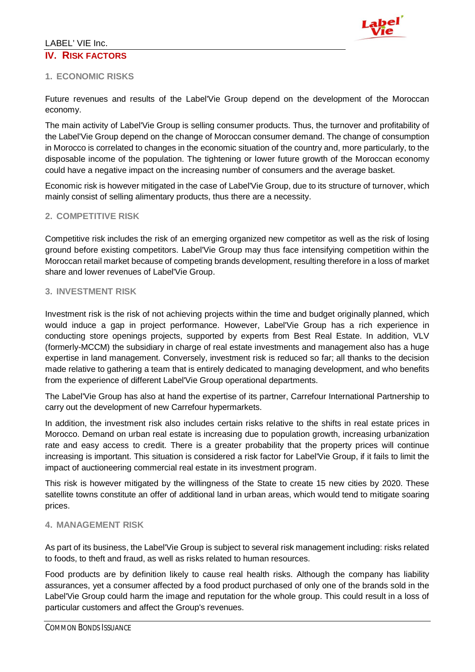

### **1. ECONOMIC RISKS**

Future revenues and results of the Label'Vie Group depend on the development of the Moroccan economy.

The main activity of Label'Vie Group is selling consumer products. Thus, the turnover and profitability of the Label'Vie Group depend on the change of Moroccan consumer demand. The change of consumption in Morocco is correlated to changes in the economic situation of the country and, more particularly, to the disposable income of the population. The tightening or lower future growth of the Moroccan economy could have a negative impact on the increasing number of consumers and the average basket.

Economic risk is however mitigated in the case of Label'Vie Group, due to its structure of turnover, which mainly consist of selling alimentary products, thus there are a necessity.

## **2. COMPETITIVE RISK**

Competitive risk includes the risk of an emerging organized new competitor as well as the risk of losing ground before existing competitors. Label'Vie Group may thus face intensifying competition within the Moroccan retail market because of competing brands development, resulting therefore in a loss of market share and lower revenues of Label'Vie Group.

#### **3. INVESTMENT RISK**

Investment risk is the risk of not achieving projects within the time and budget originally planned, which would induce a gap in project performance. However, Label'Vie Group has a rich experience in conducting store openings projects, supported by experts from Best Real Estate. In addition, VLV (formerly-MCCM) the subsidiary in charge of real estate investments and management also has a huge expertise in land management. Conversely, investment risk is reduced so far; all thanks to the decision made relative to gathering a team that is entirely dedicated to managing development, and who benefits from the experience of different Label'Vie Group operational departments.

The Label'Vie Group has also at hand the expertise of its partner, Carrefour International Partnership to carry out the development of new Carrefour hypermarkets.

In addition, the investment risk also includes certain risks relative to the shifts in real estate prices in Morocco. Demand on urban real estate is increasing due to population growth, increasing urbanization rate and easy access to credit. There is a greater probability that the property prices will continue increasing is important. This situation is considered a risk factor for Label'Vie Group, if it fails to limit the impact of auctioneering commercial real estate in its investment program.

This risk is however mitigated by the willingness of the State to create 15 new cities by 2020. These satellite towns constitute an offer of additional land in urban areas, which would tend to mitigate soaring prices.

#### **4. MANAGEMENT RISK**

As part of its business, the Label'Vie Group is subject to several risk management including: risks related to foods, to theft and fraud, as well as risks related to human resources.

Food products are by definition likely to cause real health risks. Although the company has liability assurances, yet a consumer affected by a food product purchased of only one of the brands sold in the Label'Vie Group could harm the image and reputation for the whole group. This could result in a loss of particular customers and affect the Group's revenues.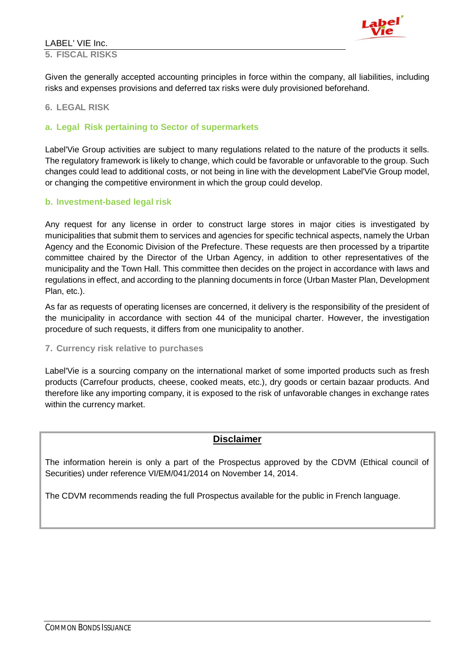#### LABEL' VIE Inc. **5. FISCAL RISKS**



Given the generally accepted accounting principles in force within the company, all liabilities, including risks and expenses provisions and deferred tax risks were duly provisioned beforehand.

#### **6. LEGAL RISK**

#### **a. Legal Risk pertaining to Sector of supermarkets**

Label'Vie Group activities are subject to many regulations related to the nature of the products it sells. The regulatory framework is likely to change, which could be favorable or unfavorable to the group. Such changes could lead to additional costs, or not being in line with the development Label'Vie Group model, or changing the competitive environment in which the group could develop.

#### **b. Investment-based legal risk**

Any request for any license in order to construct large stores in major cities is investigated by municipalities that submit them to services and agencies for specific technical aspects, namely the Urban Agency and the Economic Division of the Prefecture. These requests are then processed by a tripartite committee chaired by the Director of the Urban Agency, in addition to other representatives of the municipality and the Town Hall. This committee then decides on the project in accordance with laws and regulations in effect, and according to the planning documents in force (Urban Master Plan, Development Plan, etc.).

As far as requests of operating licenses are concerned, it delivery is the responsibility of the president of the municipality in accordance with section 44 of the municipal charter. However, the investigation procedure of such requests, it differs from one municipality to another.

#### **7. Currency risk relative to purchases**

Label'Vie is a sourcing company on the international market of some imported products such as fresh products (Carrefour products, cheese, cooked meats, etc.), dry goods or certain bazaar products. And therefore like any importing company, it is exposed to the risk of unfavorable changes in exchange rates within the currency market.

## **Disclaimer**

The information herein is only a part of the Prospectus approved by the CDVM (Ethical council of Securities) under reference VI/EM/041/2014 on November 14, 2014.

The CDVM recommends reading the full Prospectus available for the public in French language.